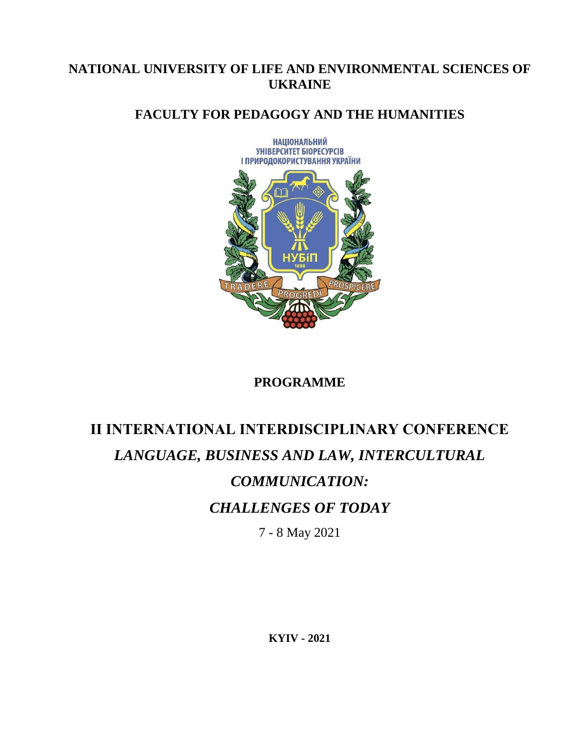# **NATIONAL UNIVERSITY OF LIFE AND ENVIRONMENTAL SCIENCES OF UKRAINE**

# **FACULTY FOR PEDAGOGY AND THE HUMANITIES**



# **PROGRAMME**

# **ІІ INTERNATIONAL INTERDISCIPLINARY CONFERENCE**  *LANGUAGE, BUSINESS AND LAW, INTERCULTURAL COMMUNICATION: CHALLENGES OF TODAY*  7 - 8 May 2021

**KYIV - 2021**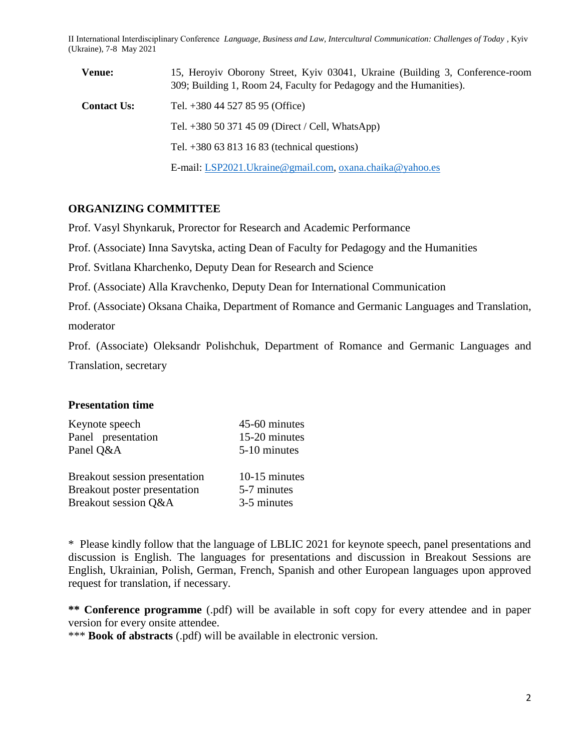| <b>Venue:</b>      | 15, Heroyiv Oborony Street, Kyiv 03041, Ukraine (Building 3, Conference-room<br>309; Building 1, Room 24, Faculty for Pedagogy and the Humanities). |  |
|--------------------|-----------------------------------------------------------------------------------------------------------------------------------------------------|--|
| <b>Contact Us:</b> | Tel. $+380$ 44 527 85 95 (Office)                                                                                                                   |  |
|                    | Tel. $+380$ 50 371 45 09 (Direct / Cell, WhatsApp)                                                                                                  |  |
|                    | Tel. $+380$ 63 813 16 83 (technical questions)                                                                                                      |  |
|                    | E-mail: LSP2021. Ukraine@gmail.com, oxana.chaika@yahoo.es                                                                                           |  |

#### **ORGANIZING COMMITTEE**

Prof. Vasyl Shynkaruk, Prorector for Research and Academic Performance

Prof. (Associate) Inna Savytska, acting Dean of Faculty for Pedagogy and the Humanities

Prof. Svitlana Kharchenko, Deputy Dean for Research and Science

Prof. (Associate) Alla Kravchenko, Deputy Dean for International Communication

Prof. (Associate) Oksana Chaika, Department of Romance and Germanic Languages and Translation, moderator

Prof. (Associate) Oleksandr Polishchuk, Department of Romance and Germanic Languages and Translation, secretary

#### **Presentation time**

| Keynote speech                | 45-60 minutes |
|-------------------------------|---------------|
| Panel presentation            | 15-20 minutes |
| Panel Q&A                     | 5-10 minutes  |
|                               |               |
| Breakout session presentation | 10-15 minutes |
| Breakout poster presentation  | 5-7 minutes   |
| Breakout session Q&A          | 3-5 minutes   |

\* Please kindly follow that the language of LBLIC 2021 for keynote speech, panel presentations and discussion is English. The languages for presentations and discussion in Breakout Sessions are English, Ukrainian, Polish, German, French, Spanish and other European languages upon approved request for translation, if necessary.

**\*\* Conference programme** (.pdf) will be available in soft copy for every attendee and in paper version for every onsite attendee.

\*\*\* **Book of abstracts** (.pdf) will be available in electronic version.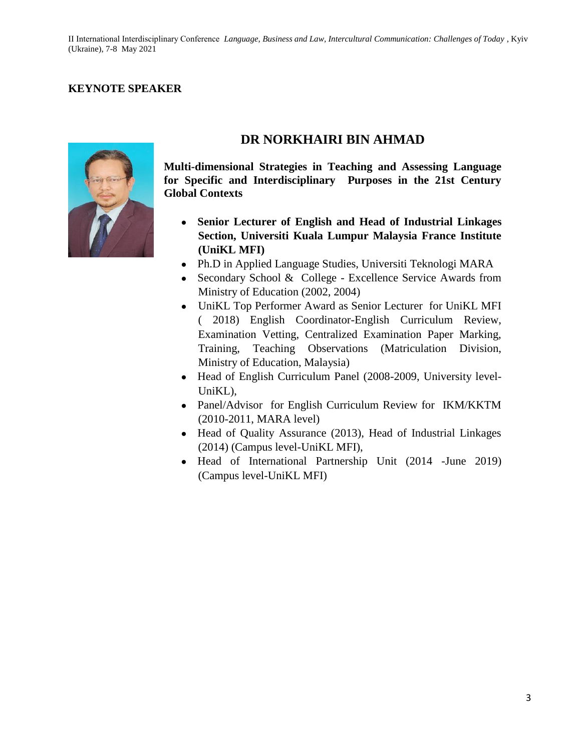# **KEYNOTE SPEAKER**



# **DR NORKHAIRI BIN AHMAD**

**Multi-dimensional Strategies in Teaching and Assessing Language for Specific and Interdisciplinary Purposes in the 21st Century Global Contexts**

- **Senior Lecturer of English and Head of Industrial Linkages Section, Universiti Kuala Lumpur Malaysia France Institute (UniKL MFI)**
- Ph.D in Applied Language Studies, Universiti Teknologi MARA
- Secondary School  $&$  College Excellence Service Awards from Ministry of Education (2002, 2004)
- UniKL Top Performer Award as Senior Lecturer for UniKL MFI ( 2018) English Coordinator-English Curriculum Review, Examination Vetting, Centralized Examination Paper Marking, Training, Teaching Observations (Matriculation Division, Ministry of Education, Malaysia)
- Head of English Curriculum Panel (2008-2009, University level-UniKL),
- Panel/Advisor for English Curriculum Review for IKM/KKTM (2010-2011, MARA level)
- Head of Quality Assurance (2013), Head of Industrial Linkages (2014) (Campus level-UniKL MFI),
- Head of International Partnership Unit (2014 -June 2019) (Campus level-UniKL MFI)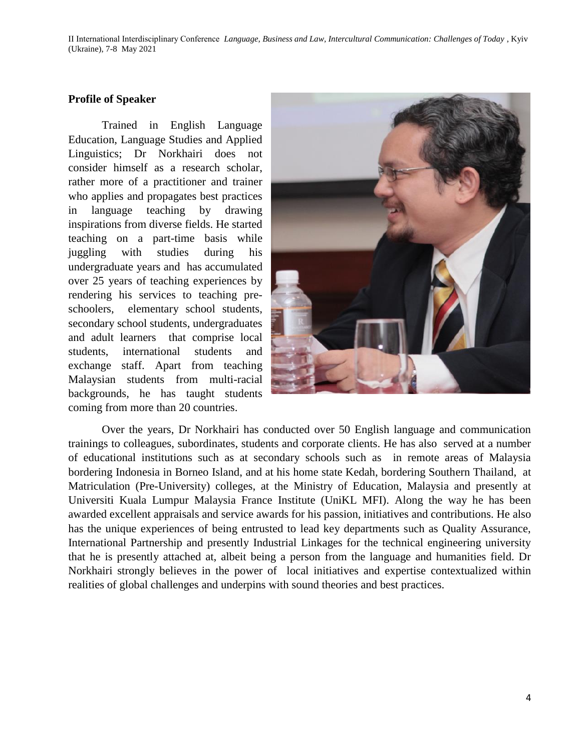#### **Profile of Speaker**

Trained in English Language Education, Language Studies and Applied Linguistics; Dr Norkhairi does not consider himself as a research scholar, rather more of a practitioner and trainer who applies and propagates best practices in language teaching by drawing inspirations from diverse fields. He started teaching on a part-time basis while juggling with studies during his undergraduate years and has accumulated over 25 years of teaching experiences by rendering his services to teaching preschoolers, elementary school students, secondary school students, undergraduates and adult learners that comprise local students, international students and exchange staff. Apart from teaching Malaysian students from multi-racial backgrounds, he has taught students coming from more than 20 countries.



Over the years, Dr Norkhairi has conducted over 50 English language and communication trainings to colleagues, subordinates, students and corporate clients. He has also served at a number of educational institutions such as at secondary schools such as in remote areas of Malaysia bordering Indonesia in Borneo Island, and at his home state Kedah, bordering Southern Thailand, at Matriculation (Pre-University) colleges, at the Ministry of Education, Malaysia and presently at Universiti Kuala Lumpur Malaysia France Institute (UniKL MFI). Along the way he has been awarded excellent appraisals and service awards for his passion, initiatives and contributions. He also has the unique experiences of being entrusted to lead key departments such as Quality Assurance, International Partnership and presently Industrial Linkages for the technical engineering university that he is presently attached at, albeit being a person from the language and humanities field. Dr Norkhairi strongly believes in the power of local initiatives and expertise contextualized within realities of global challenges and underpins with sound theories and best practices.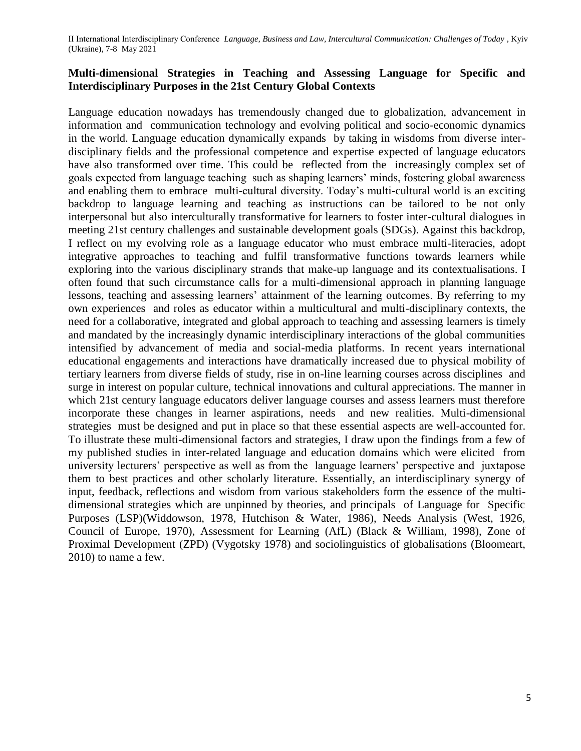## **Multi-dimensional Strategies in Teaching and Assessing Language for Specific and Interdisciplinary Purposes in the 21st Century Global Contexts**

Language education nowadays has tremendously changed due to globalization, advancement in information and communication technology and evolving political and socio-economic dynamics in the world. Language education dynamically expands by taking in wisdoms from diverse interdisciplinary fields and the professional competence and expertise expected of language educators have also transformed over time. This could be reflected from the increasingly complex set of goals expected from language teaching such as shaping learners' minds, fostering global awareness and enabling them to embrace multi-cultural diversity. Today's multi-cultural world is an exciting backdrop to language learning and teaching as instructions can be tailored to be not only interpersonal but also interculturally transformative for learners to foster inter-cultural dialogues in meeting 21st century challenges and sustainable development goals (SDGs). Against this backdrop, I reflect on my evolving role as a language educator who must embrace multi-literacies, adopt integrative approaches to teaching and fulfil transformative functions towards learners while exploring into the various disciplinary strands that make-up language and its contextualisations. I often found that such circumstance calls for a multi-dimensional approach in planning language lessons, teaching and assessing learners' attainment of the learning outcomes. By referring to my own experiences and roles as educator within a multicultural and multi-disciplinary contexts, the need for a collaborative, integrated and global approach to teaching and assessing learners is timely and mandated by the increasingly dynamic interdisciplinary interactions of the global communities intensified by advancement of media and social-media platforms. In recent years international educational engagements and interactions have dramatically increased due to physical mobility of tertiary learners from diverse fields of study, rise in on-line learning courses across disciplines and surge in interest on popular culture, technical innovations and cultural appreciations. The manner in which 21st century language educators deliver language courses and assess learners must therefore incorporate these changes in learner aspirations, needs and new realities. Multi-dimensional strategies must be designed and put in place so that these essential aspects are well-accounted for. To illustrate these multi-dimensional factors and strategies, I draw upon the findings from a few of my published studies in inter-related language and education domains which were elicited from university lecturers' perspective as well as from the language learners' perspective and juxtapose them to best practices and other scholarly literature. Essentially, an interdisciplinary synergy of input, feedback, reflections and wisdom from various stakeholders form the essence of the multidimensional strategies which are unpinned by theories, and principals of Language for Specific Purposes (LSP)(Widdowson, 1978, Hutchison & Water, 1986), Needs Analysis (West, 1926, Council of Europe, 1970), Assessment for Learning (AfL) (Black & William, 1998), Zone of Proximal Development (ZPD) (Vygotsky 1978) and sociolinguistics of globalisations (Bloomeart, 2010) to name a few.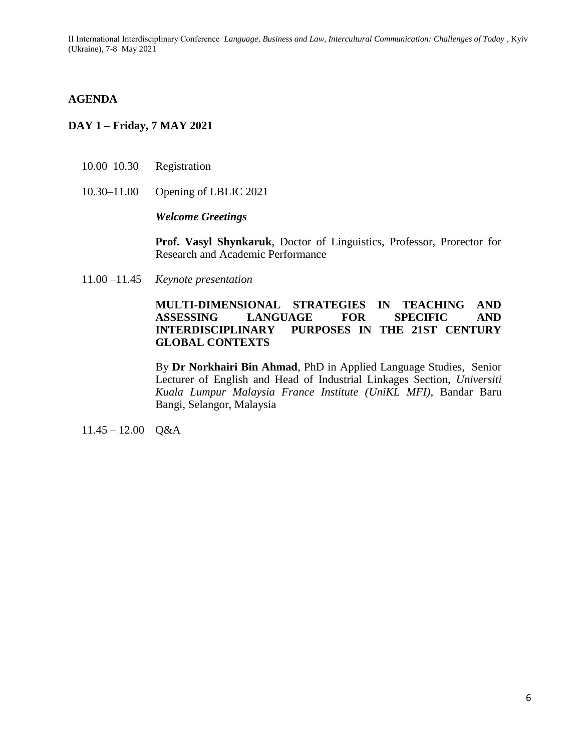#### **AGENDA**

## **DAY 1 – Friday, 7 MAY 2021**

- 10.00–10.30 Registration
- 10.30–11.00 Opening of LBLIC 2021

*Welcome Greetings*

**Prof. Vasyl Shynkaruk**, Doctor of Linguistics, Professor, Prorector for Research and Academic Performance

11.00 –11.45 *Keynote presentation*

#### **MULTI-DIMENSIONAL STRATEGIES IN TEACHING AND ASSESSING LANGUAGE FOR SPECIFIC AND INTERDISCIPLINARY PURPOSES IN THE 21ST CENTURY GLOBAL CONTEXTS**

By **Dr Norkhairi Bin Ahmad**, PhD in Applied Language Studies, Senior Lecturer of English and Head of Industrial Linkages Section, *Universiti Kuala Lumpur Malaysia France Institute (UniKL MFI)*, Bandar Baru Bangi, Selangor, Malaysia

 $11.45 - 12.00$  Q&A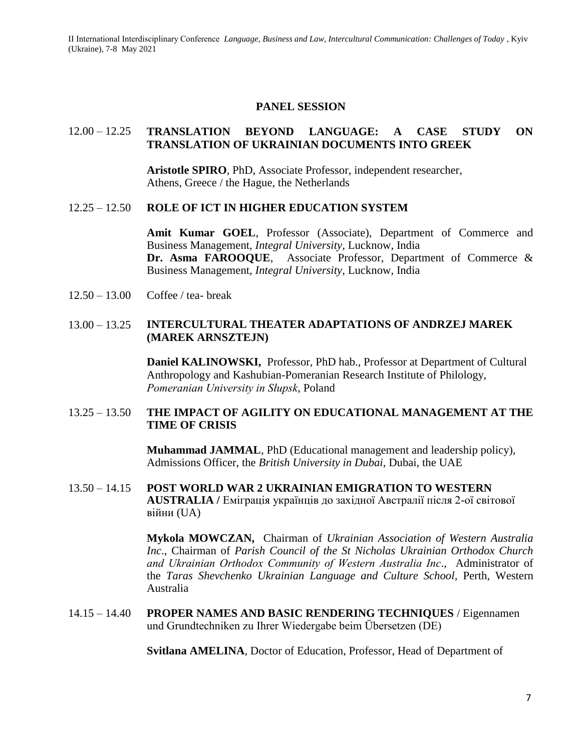#### **PANEL SESSION**

#### 12.00 – 12.25 **TRANSLATION BEYOND LANGUAGE: A CASE STUDY ON TRANSLATION OF UKRAINIAN DOCUMENTS INTO GREEK**

**Aristotle SPIRO**, PhD, Associate Professor, independent researcher, Athens, Greece / the Hague, the Netherlands

#### 12.25 – 12.50 **ROLE OF ICT IN HIGHER EDUCATION SYSTEM**

**Amit Kumar GOEL**, Professor (Associate), Department of Commerce and Business Management, *Integral University*, Lucknow, India **Dr. Asma FAROOQUE**, Associate Professor, Department of Commerce & Business Management, *Integral University*, Lucknow, India

12.50 – 13.00 Coffee / tea- break

#### 13.00 – 13.25 **INTERCULTURAL THEATER ADAPTATIONS OF ANDRZEJ MAREK (MAREK ARNSZTEJN)**

**Daniel KALINOWSKI,** Professor, PhD hab., Professor at Department of Cultural Anthropology and Kashubian-Pomeranian Research Institute of Philology, *Pomeranian University in Słupsk*, Poland

## 13.25 – 13.50 **THE IMPACT OF AGILITY ON EDUCATIONAL MANAGEMENT AT THE TIME OF CRISIS**

**Muhammad JAMMAL**, PhD (Educational management and leadership policy), Admissions Officer, the *British University in Dubai*, Dubai, the UAE

13.50 – 14.15 **POST WORLD WAR 2 UKRAINIAN EMIGRATION TO WESTERN AUSTRALIA /** Еміграція українців до західної Австралії після 2-ої світової війни (UA)

> **Mykola MOWCZAN,** Chairman of *Ukrainian Association of Western Australia Inc*., Chairman of *Parish Council of the St Nicholas Ukrainian Orthodox Church аnd Ukrainian Orthodox Community of Western Australia Inc*., Administrator of the *Taras Shevchenko Ukrainian Language and Culture School,* Perth, Western Australia

14.15 – 14.40 **PROPER NAMES AND BASIC RENDERING TECHNIQUES** / Eigennamen und Grundtechniken zu Ihrer Wiedergabe beim Übersetzen (DE)

**Svitlana AMELINA**, Doctor of Education, Professor, Head of Department of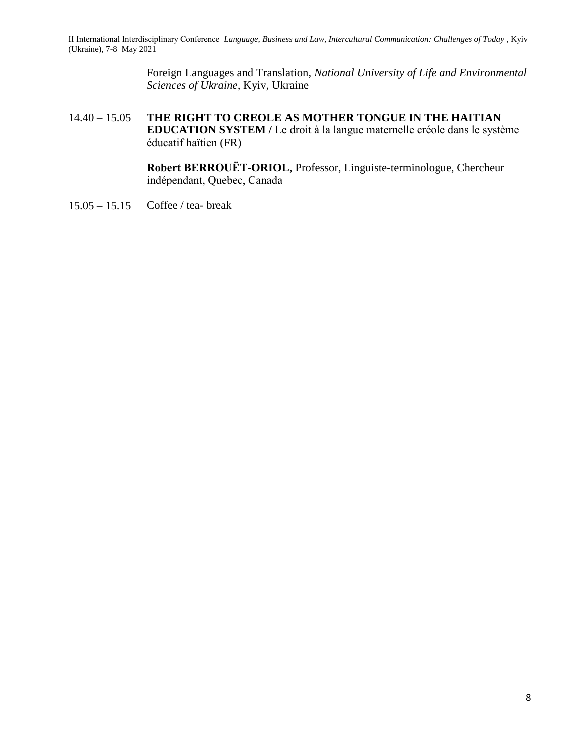> Foreign Languages and Translation, *National University of Life and Environmental Sciences of Ukraine,* Kyiv, Ukraine

14.40 – 15.05 **THE RIGHT TO CREOLE AS MOTHER TONGUE IN THE HAITIAN EDUCATION SYSTEM /** Le droit à la langue maternelle créole dans le système éducatif haïtien (FR)

> **Robert BERROUËT-ORIOL**, Professor, Linguiste-terminologue, Chercheur indépendant, Quebec, Canada

15.05 – 15.15 Coffee / tea- break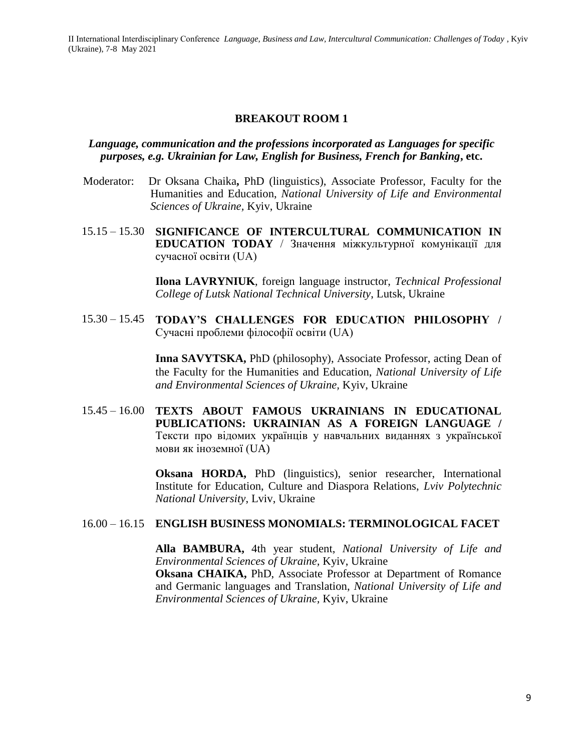#### **BREAKOUT ROOM 1**

#### *Language, communication and the professions incorporated as Languages for specific purposes, e.g. Ukrainian for Law, English for Business, French for Banking***, etc.**

- Moderator:Dr Oksana Chaika**,** PhD (linguistics), Associate Professor, Faculty for the Humanities and Education, *National University of Life and Environmental Sciences of Ukraine,* Kyiv, Ukraine
- 15.15 15.30 **SIGNIFICANCE OF INTERCULTURAL COMMUNICATION IN EDUCATION TODAY** / Значення міжкультурної комунікації для сучасної освіти (UA)

**Ilona LAVRYNIUK**, foreign language instructor, *Technical Professional College of Lutsk National Technical University*, Lutsk, Ukraine

15.30 – 15.45 **TODAY'S CHALLENGES FOR EDUCATION PHILOSOPHY /**  Сучасні проблеми філософії освіти (UA)

> **Inna SAVYTSKA,** PhD (philosophy), Associate Professor, acting Dean of the Faculty for the Humanities and Education, *National University of Life and Environmental Sciences of Ukraine,* Kyiv, Ukraine

15.45 – 16.00 **TEXTS ABOUT FAMOUS UKRAINIANS IN EDUCATIONAL PUBLICATIONS: UKRAINIAN AS A FOREIGN LANGUAGE /**  Тексти про відомих українців у навчальних виданнях з української мови як іноземної (UA)

> **Oksana HORDA,** PhD (linguistics), senior researcher, International Institute for Education, Culture and Diaspora Relations, *Lviv Polytechnic National University*, Lviv, Ukraine

#### 16.00 – 16.15 **ENGLISH BUSINESS MONOMIALS: TERMINOLOGICAL FACET**

**Alla BAMBURA,** 4th year student, *National University of Life and Environmental Sciences of Ukraine,* Kyiv, Ukraine

**Oksana CHAIKA,** PhD, Associate Professor at Department of Romance and Germanic languages and Translation, *National University of Life and Environmental Sciences of Ukraine,* Kyiv, Ukraine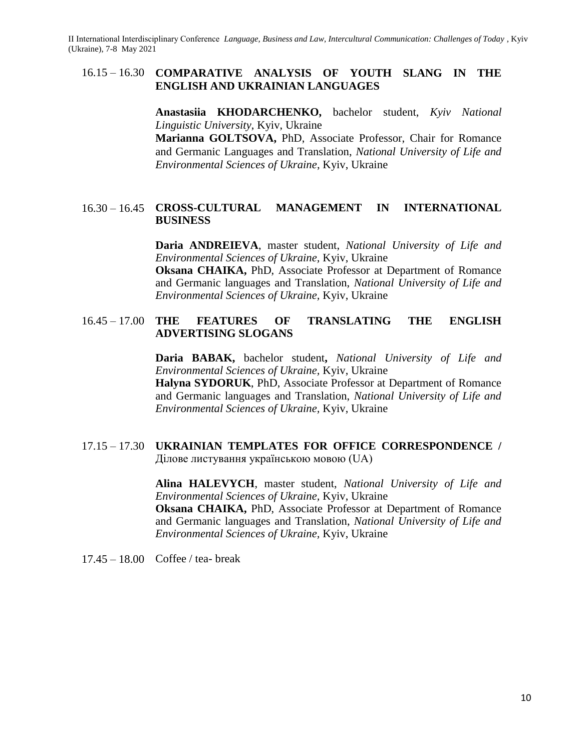## 16.15 – 16.30 **COMPARATIVE ANALYSIS OF YOUTH SLANG IN THE ENGLISH AND UKRAINIAN LANGUAGES**

**Anastasiia KHODARCHENKO,** bachelor student, *Kyiv National Linguistic University*, Kyiv, Ukraine **Marianna GOLTSOVA,** PhD, Associate Professor, Chair for Romance and Germanic Languages and Translation, *National University of Life and Environmental Sciences of Ukraine*, Kyiv, Ukraine

#### 16.30 – 16.45 **CROSS-CULTURAL MANAGEMENT IN INTERNATIONAL BUSINESS**

**Daria ANDREIEVA**, master student, *National University of Life and Environmental Sciences of Ukraine,* Kyiv, Ukraine

**Oksana CHAIKA,** PhD, Associate Professor at Department of Romance and Germanic languages and Translation, *National University of Life and Environmental Sciences of Ukraine,* Kyiv, Ukraine

## 16.45 – 17.00 **THE FEATURES OF TRANSLATING THE ENGLISH ADVERTISING SLOGANS**

**Daria BABAK,** bachelor student**,** *National University of Life and Environmental Sciences of Ukraine,* Kyiv, Ukraine

**Halyna SYDORUK**, PhD, Associate Professor at Department of Romance and Germanic languages and Translation, *National University of Life and Environmental Sciences of Ukraine,* Kyiv, Ukraine

#### 17.15 – 17.30 **UKRAINIAN TEMPLATES FOR OFFICE CORRESPONDENCE /**  Ділове листування українською мовою (UA)

**Alina HALEVYCH**, master student, *National University of Life and Environmental Sciences of Ukraine,* Kyiv, Ukraine **Oksana CHAIKA,** PhD, Associate Professor at Department of Romance and Germanic languages and Translation, *National University of Life and Environmental Sciences of Ukraine,* Kyiv, Ukraine

17.45 – 18.00 Coffee / tea- break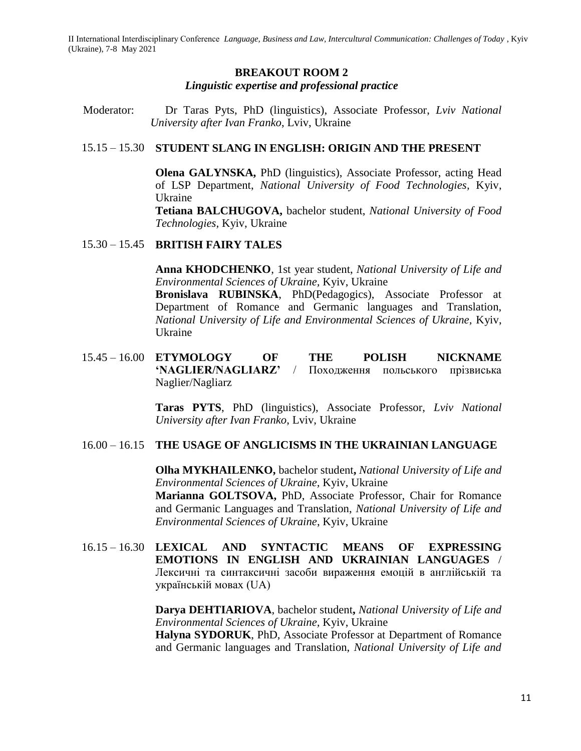#### **BREAKOUT ROOM 2** *Linguistic expertise and professional practice*

Moderator:Dr Taras Pyts, PhD (linguistics), Associate Professor, *Lviv National University after Ivan Franko*, Lviv, Ukraine

#### 15.15 – 15.30 **STUDENT SLANG IN ENGLISH: ORIGIN AND THE PRESENT**

**Olena GALYNSKA,** PhD (linguistics), Associate Professor, acting Head of LSP Department, *National University of Food Technologies,* Kyiv, Ukraine

**Tetiana BALCHUGOVA,** bachelor student, *National University of Food Technologies,* Kyiv, Ukraine

#### 15.30 – 15.45 **BRITISH FAIRY TALES**

**Anna KHODCHENKO**, 1st year student, *National University of Life and Environmental Sciences of Ukraine,* Kyiv, Ukraine

**Bronislava RUBINSKA**, PhD(Pedagogics), Associate Professor at Department of Romance and Germanic languages and Translation, *National University of Life and Environmental Sciences of Ukraine,* Kyiv, Ukraine

15.45 – 16.00 **ETYMOLOGY OF THE POLISH NICKNAME 'NAGLIER/NAGLIARZ'** / Походження польського прізвиська Naglier/Nagliarz

> **Taras PYTS**, PhD (linguistics), Associate Professor, *Lviv National University after Ivan Franko*, Lviv, Ukraine

## 16.00 – 16.15 **THE USAGE OF ANGLICISMS IN THE UKRAINIAN LANGUAGE**

**Olha MYKHAILENKO,** bachelor student**,** *National University of Life and Environmental Sciences of Ukraine,* Kyiv, Ukraine **Marianna GOLTSOVA,** PhD, Associate Professor, Chair for Romance and Germanic Languages and Translation, *National University of Life and Environmental Sciences of Ukraine*, Kyiv, Ukraine

16.15 – 16.30 **LEXICAL AND SYNTACTIC MEANS OF EXPRESSING EMOTIONS IN ENGLISH AND UKRAINIAN LANGUAGES** / Лексичні та синтаксичні засоби вираження емоцій в англійській та українській мовах (UA)

> **Darya DEHTIARIOVA**, bachelor student**,** *National University of Life and Environmental Sciences of Ukraine,* Kyiv, Ukraine

> **Halyna SYDORUK**, PhD, Associate Professor at Department of Romance and Germanic languages and Translation, *National University of Life and*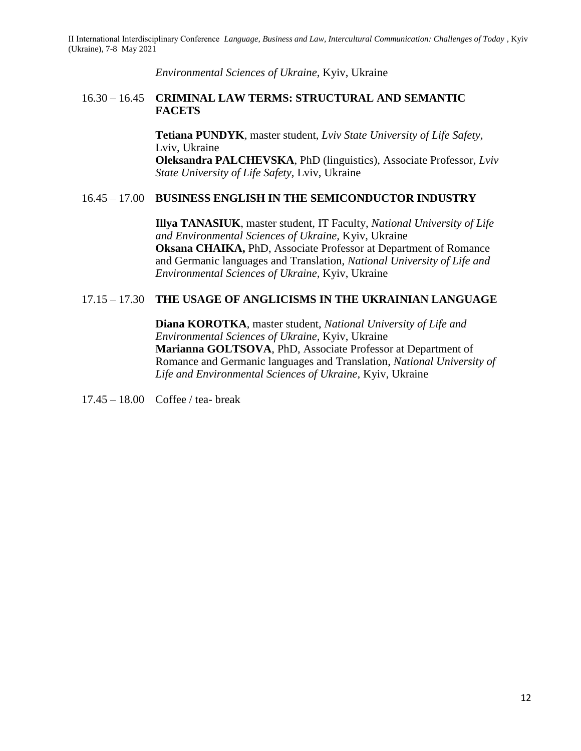*Environmental Sciences of Ukraine,* Kyiv, Ukraine

#### 16.30 – 16.45 **CRIMINAL LAW TERMS: STRUCTURAL AND SEMANTIC FACETS**

**Tetiana PUNDYK**, master student, *Lviv State University of Life Safety*, Lviv, Ukraine **Oleksandra PALCHEVSKA**, PhD (linguistics), Associate Professor, *Lviv State University of Life Safety*, Lviv, Ukraine

## 16.45 – 17.00 **BUSINESS ENGLISH IN THE SEMICONDUCTOR INDUSTRY**

**Illya TANASIUK**, master student, IT Faculty, *National University of Life and Environmental Sciences of Ukraine,* Kyiv, Ukraine **Oksana CHAIKA,** PhD, Associate Professor at Department of Romance and Germanic languages and Translation, *National University of Life and Environmental Sciences of Ukraine,* Kyiv, Ukraine

## 17.15 – 17.30 **THE USAGE OF ANGLICISMS IN THE UKRAINIAN LANGUAGE**

**Diana KOROTKA**, master student, *National University of Life and Environmental Sciences of Ukraine,* Kyiv, Ukraine **Marianna GOLTSOVA**, PhD, Associate Professor at Department of Romance and Germanic languages and Translation, *National University of Life and Environmental Sciences of Ukraine,* Kyiv, Ukraine

17.45 – 18.00 Coffee / tea- break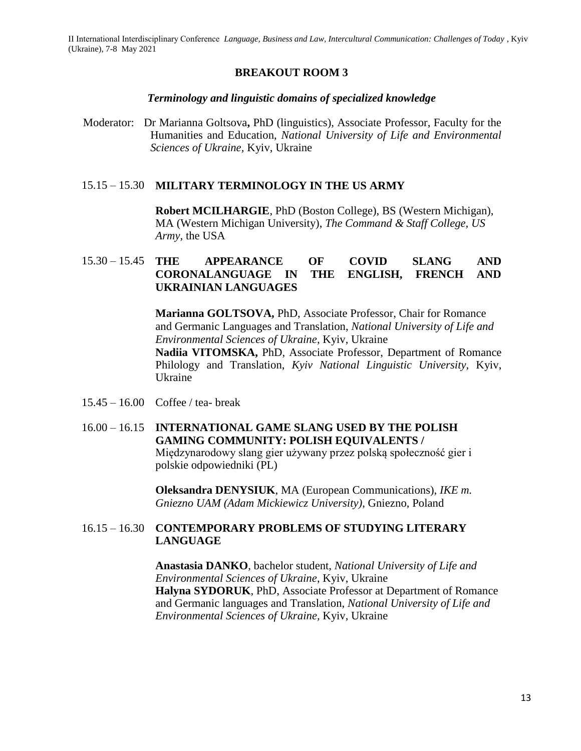#### **BREAKOUT ROOM 3**

#### *Terminology and linguistic domains of specialized knowledge*

Moderator:Dr Marianna Goltsova**,** PhD (linguistics), Associate Professor, Faculty for the Humanities and Education, *National University of Life and Environmental Sciences of Ukraine,* Kyiv, Ukraine

#### 15.15 – 15.30 **MILITARY TERMINOLOGY IN THE US ARMY**

**Robert MCILHARGIE**, PhD (Boston College), BS (Western Michigan), MA (Western Michigan University), *The Command & Staff College, US Army,* the USA

## 15.30 – 15.45 **THE APPEARANCE OF COVID SLANG AND CORONALANGUAGE IN THE ENGLISH, FRENCH AND UKRAINIAN LANGUAGES**

**Marianna GOLTSOVA,** PhD, Associate Professor, Chair for Romance and Germanic Languages and Translation, *National University of Life and Environmental Sciences of Ukraine*, Kyiv, Ukraine

**Nadiia VITOMSKA,** PhD, Associate Professor, Department of Romance Philology and Translation, *Kyiv National Linguistic University,* Kyiv, Ukraine

- 15.45 16.00 Coffee / tea- break
- 16.00 16.15 **INTERNATIONAL GAME SLANG USED BY THE POLISH GAMING COMMUNITY: POLISH EQUIVALENTS /**  Międzynarodowy slang gier używany przez polską społeczność gier i polskie odpowiedniki (PL)

**Oleksandra DENYSIUK**, MA (European Communications), *IKE m. Gniezno UAM (Adam Mickiewicz University)*, Gniezno, Poland

#### 16.15 – 16.30 **CONTEMPORARY PROBLEMS OF STUDYING LITERARY LANGUAGE**

**Anastasia DANKO**, bachelor student, *National University of Life and Environmental Sciences of Ukraine*, Kyiv, Ukraine **Halyna SYDORUK**, PhD, Associate Professor at Department of Romance and Germanic languages and Translation, *National University of Life and Environmental Sciences of Ukraine,* Kyiv, Ukraine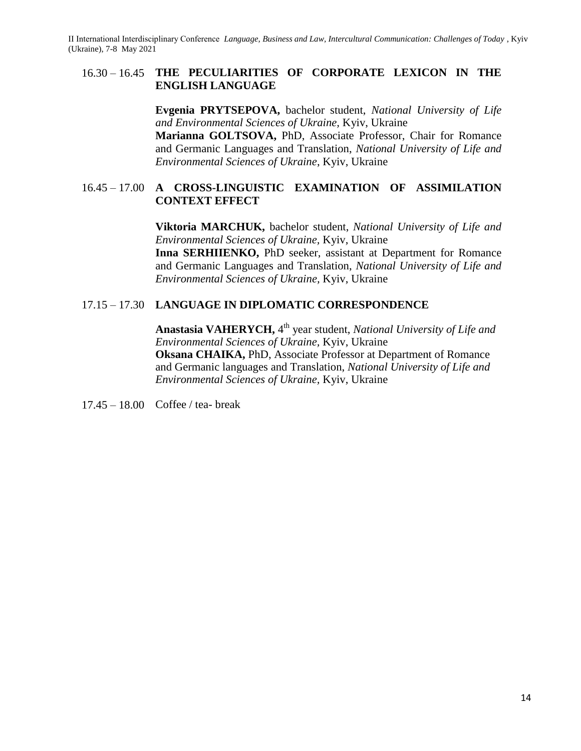#### 16.30 – 16.45 **THE PECULIARITIES OF CORPORATE LEXICON IN THE ENGLISH LANGUAGE**

**Evgenia PRYTSEPOVA,** bachelor student, *National University of Life and Environmental Sciences of Ukraine,* Kyiv, Ukraine **Marianna GOLTSOVA,** PhD, Associate Professor, Chair for Romance and Germanic Languages and Translation, *National University of Life and Environmental Sciences of Ukraine*, Kyiv, Ukraine

## 16.45 – 17.00 **A CROSS-LINGUISTIC EXAMINATION OF ASSIMILATION CONTEXT EFFECT**

**Viktoria MARCHUK,** bachelor student, *National University of Life and Environmental Sciences of Ukraine,* Kyiv, Ukraine **Inna SERHIIENKO,** PhD seeker, assistant at Department for Romance and Germanic Languages and Translation, *National University of Life and Environmental Sciences of Ukraine,* Kyiv, Ukraine

#### 17.15 – 17.30 **LANGUAGE IN DIPLOMATIC CORRESPONDENCE**

Anastasia VAHERYCH, 4<sup>th</sup> year student, *National University of Life and Environmental Sciences of Ukraine,* Kyiv, Ukraine **Oksana CHAIKA,** PhD, Associate Professor at Department of Romance and Germanic languages and Translation, *National University of Life and Environmental Sciences of Ukraine,* Kyiv, Ukraine

17.45 – 18.00 Coffee / tea- break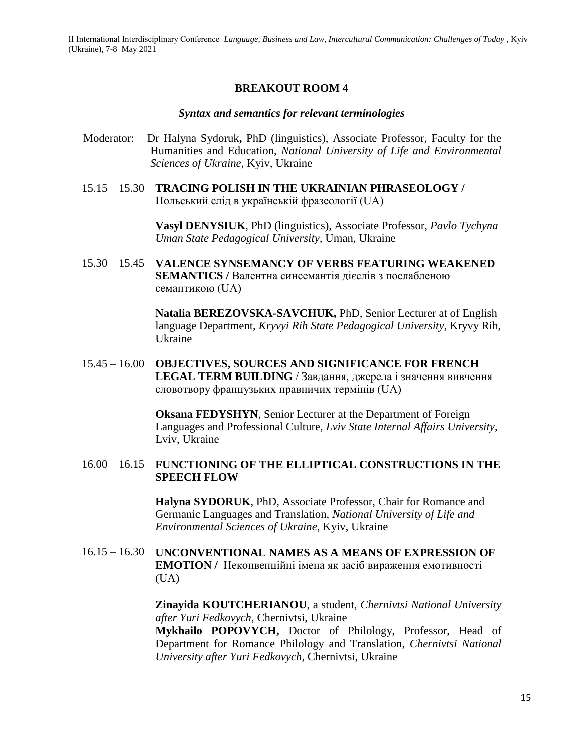#### **BREAKOUT ROOM 4**

#### *Syntax and semantics for relevant terminologies*

- Moderator:Dr Halyna Sydoruk**,** PhD (linguistics), Associate Professor, Faculty for the Humanities and Education, *National University of Life and Environmental Sciences of Ukraine,* Kyiv, Ukraine
- 15.15 15.30 **TRACING POLISH IN THE UKRAINIAN PHRASEOLOGY /**  Польський слід в українській фразеології (UA)

**Vasyl DENYSIUK**, PhD (linguistics), Associate Professor, *Pavlo Tychyna Uman State Pedagogical University,* Uman, Ukraine

15.30 – 15.45 **VALENCE SYNSEMANCY OF VERBS FEATURING WEAKENED SEMANTICS /** Валентна синсемантія дієслів з послабленою семантикою (UA)

> **Natalia BEREZOVSKA-SAVCHUK,** PhD, Senior Lecturer at of English language Department, *Kryvyi Rih State Pedagogical University*, Kryvy Rih, Ukraine

15.45 – 16.00 **OBJECTIVES, SOURCES AND SIGNIFICANCE FOR FRENCH LEGAL TERM BUILDING** / Завдання, джерела і значення вивчення словотвору французьких правничих термінів (UA)

> **Oksana FEDYSHYN**, Senior Lecturer at the Department of Foreign Languages and Professional Culture, *Lviv State Internal Affairs University*, Lviv, Ukraine

#### 16.00 – 16.15 **FUNCTIONING OF THE ELLIPTICAL CONSTRUCTIONS IN THE SPEECH FLOW**

**Halyna SYDORUK**, PhD, Associate Professor, Chair for Romance and Germanic Languages and Translation, *National University of Life and Environmental Sciences of Ukraine*, Kyiv, Ukraine

16.15 – 16.30 **UNCONVENTIONAL NAMES AS A MEANS OF EXPRESSION OF EMOTION /** Неконвенційні імена як засіб вираження емотивності (UA)

> **Zinayida KOUTCHERIANOU**, a student, *Chernivtsi National University after Yuri Fedkovych*, Chernivtsi, Ukraine **Mykhailo POPOVYCH,** Doctor of Philology, Professor, Head of Department for Romance Philology and Translation, *Chernivtsi National University after Yuri Fedkovych*, Chernivtsi, Ukraine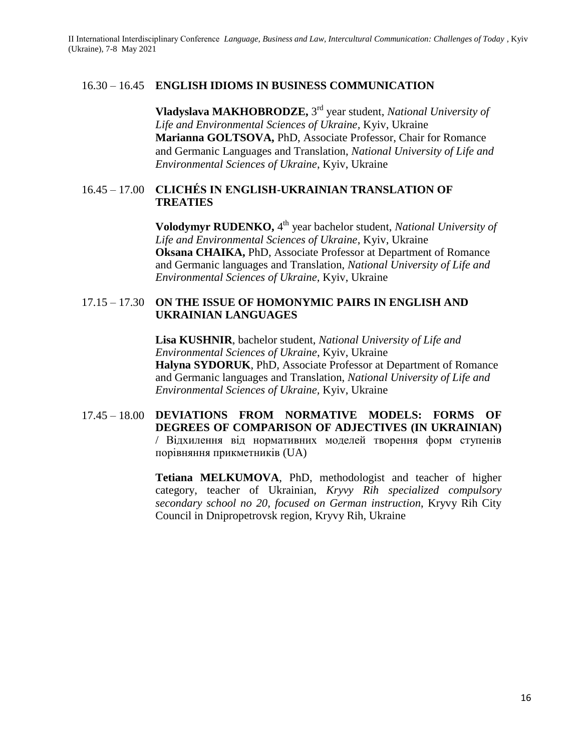#### 16.30 – 16.45 **ENGLISH IDIOMS IN BUSINESS COMMUNICATION**

**Vladyslava MAKHOBRODZE,** 3 rd year student, *National University of Life and Environmental Sciences of Ukraine,* Kyiv, Ukraine **Marianna GOLTSOVA,** PhD, Associate Professor, Chair for Romance and Germanic Languages and Translation, *National University of Life and Environmental Sciences of Ukraine*, Kyiv, Ukraine

## 16.45 – 17.00 **CLICHÉS IN ENGLISH-UKRAINIAN TRANSLATION OF TREATIES**

**Volodymyr RUDENKO,** 4<sup>th</sup> year bachelor student, *National University of Life and Environmental Sciences of Ukraine*, Kyiv, Ukraine **Oksana CHAIKA,** PhD, Associate Professor at Department of Romance and Germanic languages and Translation, *National University of Life and Environmental Sciences of Ukraine,* Kyiv, Ukraine

#### 17.15 – 17.30 **ON THE ISSUE OF HOMONYMIC PAIRS IN ENGLISH AND UKRAINIAN LANGUAGES**

**Lisa KUSHNIR**, bachelor student, *National University of Life and Environmental Sciences of Ukraine*, Kyiv, Ukraine **Halyna SYDORUK**, PhD, Associate Professor at Department of Romance and Germanic languages and Translation, *National University of Life and Environmental Sciences of Ukraine,* Kyiv, Ukraine

## 17.45 – 18.00 **DEVIATIONS FROM NORMATIVE MODELS: FORMS OF DEGREES OF COMPARISON OF ADJECTIVES (IN UKRAINIAN)** / Відхилення від нормативних моделей творення форм ступенів порівняння прикметників (UA)

**Tetiana MELKUMOVA**, PhD, methodologist and teacher of higher category, teacher of Ukrainian, *Kryvy Rih specialized compulsory secondary school no 20, focused on German instruction*, Kryvy Rih City Council in Dnipropetrovsk region, Kryvy Rih, Ukraine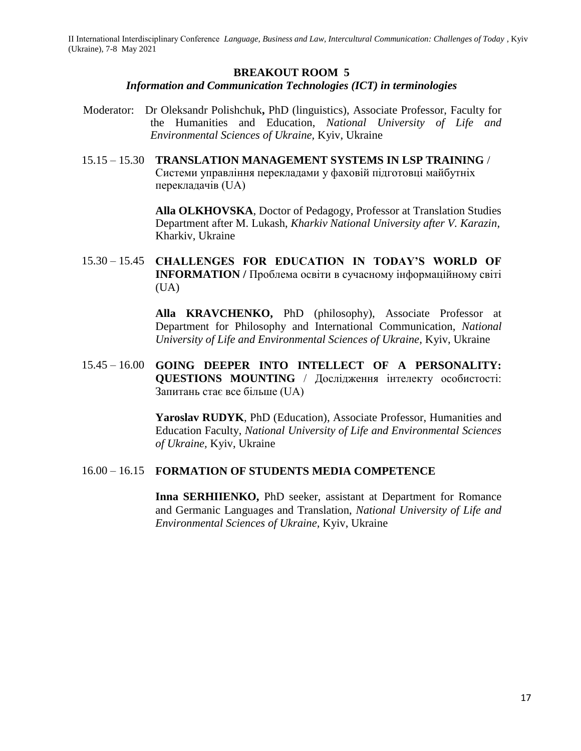#### **BREAKOUT ROOM 5**

#### *Information and Communication Technologies (ICT) in terminologies*

- Moderator:Dr Oleksandr Polishchuk**,** PhD (linguistics), Associate Professor, Faculty for the Humanities and Education, *National University of Life and Environmental Sciences of Ukraine,* Kyiv, Ukraine
- 15.15 15.30 **TRANSLATION MANAGEMENT SYSTEMS IN LSP TRAINING** / Системи управління перекладами у фаховій підготовці майбутніх перекладачів (UA)

**Alla OLKHOVSKA**, Doctor of Pedagogy, Professor at Translation Studies Department after M. Lukash, *Kharkiv National University after V. Karazin*, Kharkiv, Ukraine

15.30 – 15.45 **CHALLENGES FOR EDUCATION IN TODAY'S WORLD OF INFORMATION /** Проблема освіти в сучасному інформаційному світі  $(UA)$ 

> **Alla KRAVCHENKO,** PhD (philosophy), Associate Professor at Department for Philosophy and International Communication, *National University of Life and Environmental Sciences of Ukraine,* Kyiv, Ukraine

15.45 – 16.00 **GOING DEEPER INTO INTELLECT OF A PERSONALITY: QUESTIONS MOUNTING** / Дослідження інтелекту особистості: Запитань стає все більше (UA)

> **Yaroslav RUDYK**, PhD (Education), Associate Professor, Humanities and Education Faculty, *National University of Life and Environmental Sciences of Ukraine,* Kyiv, Ukraine

#### 16.00 – 16.15 **FORMATION OF STUDENTS MEDIA COMPETENCE**

**Inna SERHIIENKO,** PhD seeker, assistant at Department for Romance and Germanic Languages and Translation, *National University of Life and Environmental Sciences of Ukraine,* Kyiv, Ukraine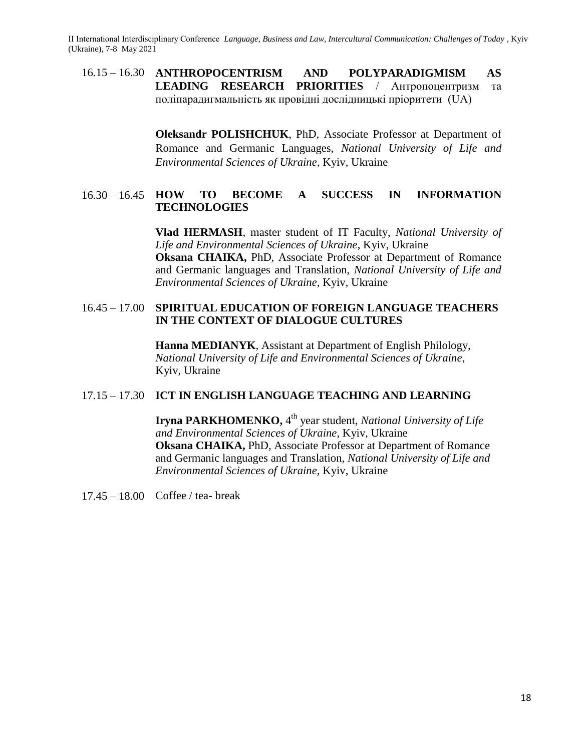16.15 – 16.30 **ANTHROPOCENTRISM AND POLYPARADIGMISM AS LEADING RESEARCH PRIORITIES** / Антропоцентризм та поліпарадигмальність як провідні дослідницькі пріоритети (UA)

> **Oleksandr POLISHCHUK**, PhD, Associate Professor at Department of Romance and Germanic Languages, *National University of Life and Environmental Sciences of Ukraine*, Kyiv, Ukraine

## 16.30 – 16.45 **HOW TO BECOME A SUCCESS IN INFORMATION TECHNOLOGIES**

**Vlad HERMASH**, master student of IT Faculty, *National University of Life and Environmental Sciences of Ukraine*, Kyiv, Ukraine **Oksana CHAIKA,** PhD, Associate Professor at Department of Romance and Germanic languages and Translation, *National University of Life and Environmental Sciences of Ukraine,* Kyiv, Ukraine

## 16.45 – 17.00 **SPIRITUAL EDUCATION OF FOREIGN LANGUAGE TEACHERS IN THE CONTEXT OF DIALOGUE CULTURES**

**Hanna MEDIANYK**, Assistant at Department of English Philology, *National University of Life and Environmental Sciences of Ukraine*, Kyiv, Ukraine

## 17.15 – 17.30 **ICT IN ENGLISH LANGUAGE TEACHING AND LEARNING**

**Iryna PARKHOMENKO,** 4<sup>th</sup> year student, *National University of Life and Environmental Sciences of Ukraine*, Kyiv, Ukraine **Oksana CHAIKA,** PhD, Associate Professor at Department of Romance and Germanic languages and Translation, *National University of Life and Environmental Sciences of Ukraine,* Kyiv, Ukraine

17.45 – 18.00 Coffee / tea- break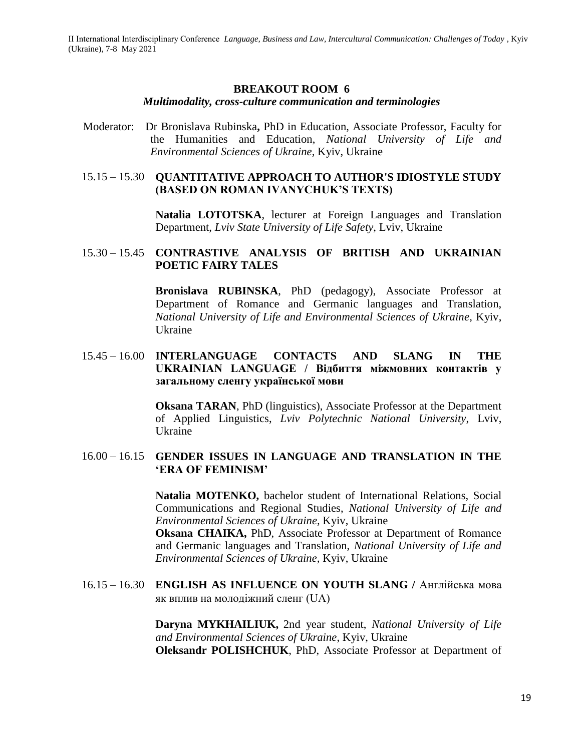#### **BREAKOUT ROOM 6**

#### *Multimodality, cross-culture communication and terminologies*

Moderator:Dr Bronislava Rubinska**,** PhD in Education, Associate Professor, Faculty for the Humanities and Education, *National University of Life and Environmental Sciences of Ukraine,* Kyiv, Ukraine

#### 15.15 – 15.30 **QUANTITATIVE APPROACH TO AUTHOR'S IDIOSTYLE STUDY (BASED ON ROMAN IVANYCHUK'S TEXTS)**

**Natalia LOTOTSKA**, lecturer at Foreign Languages and Translation Department, *Lviv State University of Life Safety*, Lviv, Ukraine

#### 15.30 – 15.45 **CONTRASTIVE ANALYSIS OF BRITISH AND UKRAINIAN POETIC FAIRY TALES**

**Bronislava RUBINSKA**, PhD (pedagogy), Associate Professor at Department of Romance and Germanic languages and Translation, *National University of Life and Environmental Sciences of Ukraine*, Kyiv, Ukraine

#### 15.45 – 16.00 **INTERLANGUAGE CONTACTS AND SLANG IN THE UKRAINIAN LANGUAGE / Відбиття міжмовних контактів у загальному сленгу української мови**

**Oksana TARAN**, PhD (linguistics), Associate Professor at the Department of Applied Linguistics, *Lviv Polytechnic National University*, Lviv, Ukraine

#### 16.00 – 16.15 **GENDER ISSUES IN LANGUAGE AND TRANSLATION IN THE 'ERA OF FEMINISM'**

**Natalia MOTENKO,** bachelor student of International Relations, Social Communications and Regional Studies, *National University of Life and Environmental Sciences of Ukraine,* Kyiv, Ukraine

**Oksana CHAIKA,** PhD, Associate Professor at Department of Romance and Germanic languages and Translation, *National University of Life and Environmental Sciences of Ukraine,* Kyiv, Ukraine

16.15 – 16.30 **ENGLISH AS INFLUENCE ON YOUTH SLANG /** Англійська мова як вплив на молодіжний сленг (UA)

> **Daryna MYKHAILIUK,** 2nd year student, *National University of Life and Environmental Sciences of Ukraine*, Kyiv, Ukraine **Oleksandr POLISHCHUK**, PhD, Associate Professor at Department of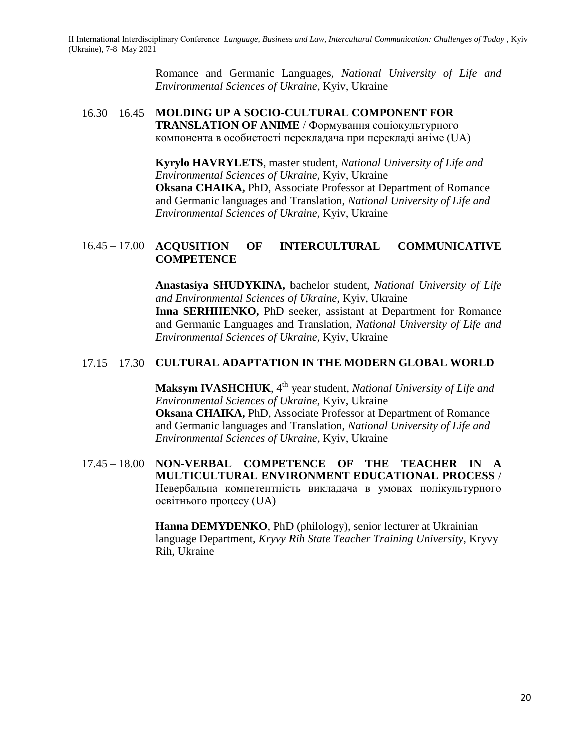Romance and Germanic Languages, *National University of Life and Environmental Sciences of Ukraine*, Kyiv, Ukraine

#### 16.30 – 16.45 **MOLDING UP A SOCIO-CULTURAL COMPONENT FOR TRANSLATION OF ANIME** / Формування соціокультурного компонента в особистості перекладача при перекладі аніме (UA)

**Kyrylo HAVRYLETS**, master student, *National University of Life and Environmental Sciences of Ukraine,* Kyiv, Ukraine **Oksana CHAIKA,** PhD, Associate Professor at Department of Romance and Germanic languages and Translation, *National University of Life and Environmental Sciences of Ukraine,* Kyiv, Ukraine

## 16.45 – 17.00 **ACQUSITION OF INTERCULTURAL COMMUNICATIVE COMPETENCE**

**Anastasiya SHUDYKINA,** bachelor student, *National University of Life and Environmental Sciences of Ukraine,* Kyiv, Ukraine **Inna SERHIIENKO,** PhD seeker, assistant at Department for Romance and Germanic Languages and Translation, *National University of Life and Environmental Sciences of Ukraine,* Kyiv, Ukraine

## 17.15 – 17.30 **CULTURAL ADAPTATION IN THE MODERN GLOBAL WORLD**

**Maksym IVASHCHUK**, 4<sup>th</sup> year student, *National University of Life and Environmental Sciences of Ukraine,* Kyiv, Ukraine **Oksana CHAIKA,** PhD, Associate Professor at Department of Romance and Germanic languages and Translation, *National University of Life and Environmental Sciences of Ukraine,* Kyiv, Ukraine

## 17.45 – 18.00 **NON-VERBAL COMPETENCE OF THE TEACHER IN A MULTICULTURAL ENVIRONMENT EDUCATIONAL PROCESS** / Невербальна компетентність викладача в умовах полікультурного освітнього процесу (UA)

**Hanna DEMYDENKO**, PhD (philology), senior lecturer at Ukrainian language Department, *Kryvy Rih State Teacher Training University*, Kryvy Rih, Ukraine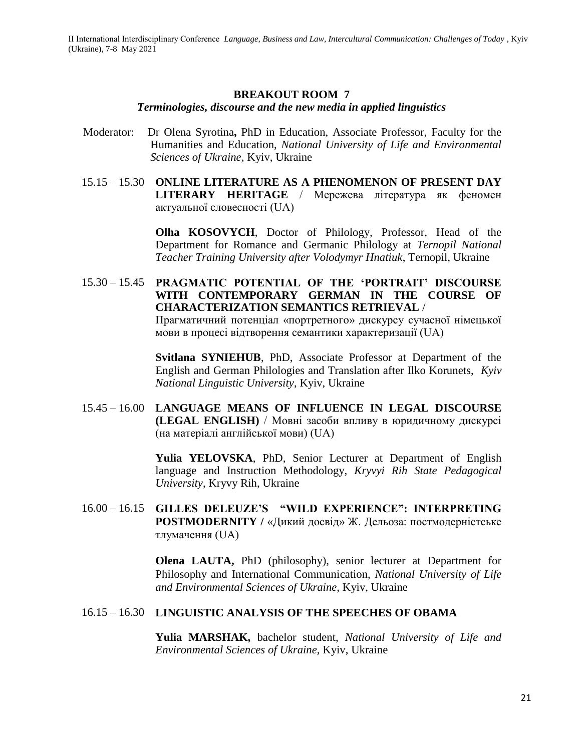## **BREAKOUT ROOM 7**

#### *Terminologies, discourse and the new media in applied linguistics*

- Moderator:Dr Olena Syrotina**,** PhD in Education, Associate Professor, Faculty for the Humanities and Education, *National University of Life and Environmental Sciences of Ukraine,* Kyiv, Ukraine
- 15.15 15.30 **ONLINE LITERATURE AS A PHENOMENON OF PRESENT DAY LITERARY HERITAGE** / Мережева література як феномен актуальної словесності (UA)

**Olha KOSOVYCH**, Doctor of Philology, Professor, Head of the Department for Romance and Germanic Philology at *Ternopil National Teacher Training University after Volodymyr Hnatiuk*, Ternopil, Ukraine

15.30 – 15.45 **PRAGMATIC POTENTIAL OF THE 'PORTRAIT' DISCOURSE WITH CONTEMPORARY GERMAN IN THE COURSE OF CHARACTERIZATION SEMANTICS RETRIEVAL** / Прагматичний потенціал «портретного» дискурсу сучасної німецької мови в процесі відтворення семантики характеризації (UA)

> **Svitlana SYNIEHUB**, PhD, Associate Professor at Department of the English and German Philologies and Translation after Ilko Korunets, *Kyiv National Linguistic University*, Kyiv, Ukraine

15.45 – 16.00 **LANGUAGE MEANS OF INFLUENCE IN LEGAL DISCOURSE (LEGAL ENGLISH)** / Мовні засоби впливу в юридичному дискурсі (на матеріалі англійської мови) (UA)

> **Yulia YELOVSKA**, PhD, Senior Lecturer at Department of English language and Instruction Methodology, *Kryvyi Rih State Pedagogical University*, Kryvy Rih, Ukraine

16.00 – 16.15 **GILLES DELEUZE'S "WILD EXPERIENCE": INTERPRETING POSTMODERNITY /** «Дикий досвід» Ж. Дельоза: постмодерністське тлумачення (UA)

> **Olena LAUTA,** PhD (philosophy), senior lecturer at Department for Philosophy and International Communication, *National University of Life and Environmental Sciences of Ukraine,* Kyiv, Ukraine

#### 16.15 – 16.30 **LINGUISTIC ANALYSIS OF THE SPEECHES OF OBAMA**

**Yulia MARSHAK,** bachelor student, *National University of Life and Environmental Sciences of Ukraine,* Kyiv, Ukraine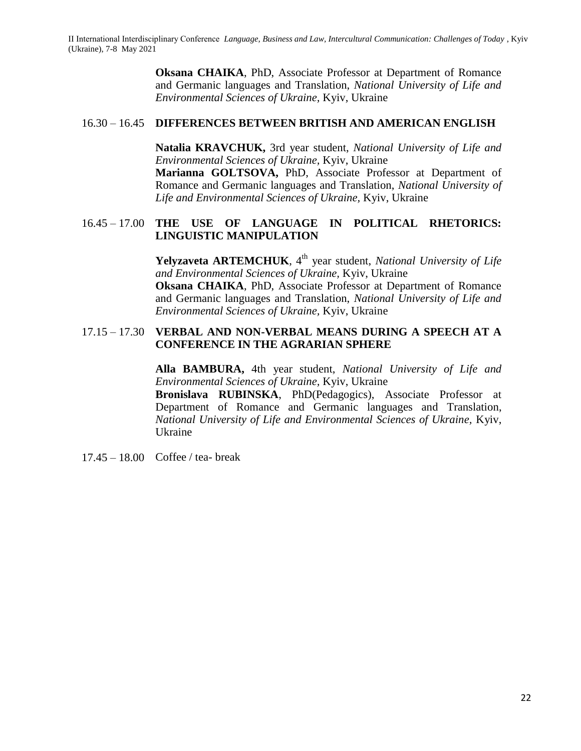**Oksana CHAIKA**, PhD, Associate Professor at Department of Romance and Germanic languages and Translation, *National University of Life and Environmental Sciences of Ukraine,* Kyiv, Ukraine

## 16.30 – 16.45 **DIFFERENCES BETWEEN BRITISH AND AMERICAN ENGLISH**

**Natalia KRAVCHUK,** 3rd year student, *National University of Life and Environmental Sciences of Ukraine,* Kyiv, Ukraine

**Marianna GOLTSOVA,** PhD, Associate Professor at Department of Romance and Germanic languages and Translation, *National University of Life and Environmental Sciences of Ukraine,* Kyiv, Ukraine

## 16.45 – 17.00 **THE USE OF LANGUAGE IN POLITICAL RHETORICS: LINGUISTIC MANIPULATION**

**Yelyzaveta ARTEMCHUK**, 4<sup>th</sup> year student, *National University of Life and Environmental Sciences of Ukraine,* Kyiv, Ukraine **Oksana CHAIKA**, PhD, Associate Professor at Department of Romance and Germanic languages and Translation, *National University of Life and Environmental Sciences of Ukraine,* Kyiv, Ukraine

#### 17.15 – 17.30 **VERBAL AND NON-VERBAL MEANS DURING A SPEECH AT A CONFERENCE IN THE AGRARIAN SPHERE**

**Alla BAMBURA,** 4th year student, *National University of Life and Environmental Sciences of Ukraine,* Kyiv, Ukraine

**Bronislava RUBINSKA**, PhD(Pedagogics), Associate Professor at Department of Romance and Germanic languages and Translation, *National University of Life and Environmental Sciences of Ukraine,* Kyiv, Ukraine

17.45 – 18.00 Coffee / tea- break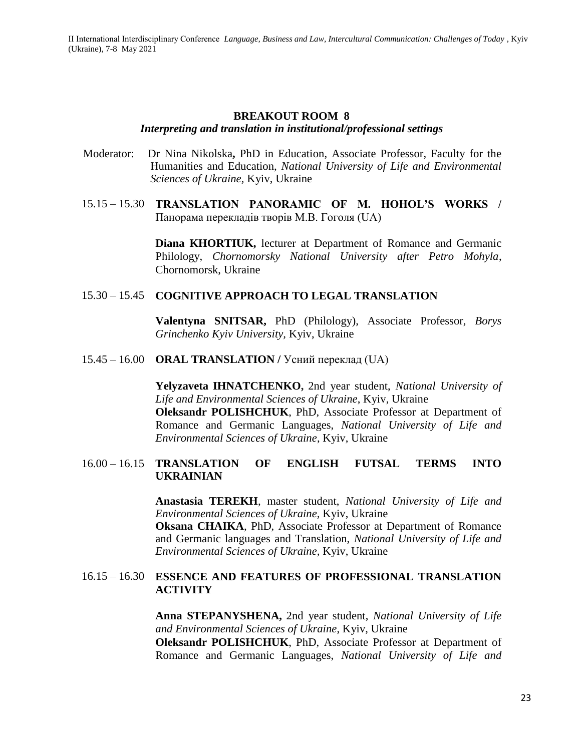#### **BREAKOUT ROOM 8** *Interpreting and translation in institutional/professional settings*

- Moderator:Dr Nina Nikolska**,** PhD in Education, Associate Professor, Faculty for the Humanities and Education, *National University of Life and Environmental Sciences of Ukraine,* Kyiv, Ukraine
- 15.15 15.30 **TRANSLATION PANORAMIC OF M. HOHOL'S WORKS /**  Панорама перекладів творів М.В. Гоголя (UA)

**Diana KHORTIUK,** lecturer at Department of Romance and Germanic Philology, *Chornomorsky National University after Petro Mohyla*, Chornomorsk, Ukraine

#### 15.30 – 15.45 **COGNITIVE APPROACH TO LEGAL TRANSLATION**

**Valentyna SNITSAR,** PhD (Philology), Associate Professor, *Borys Grinchenko Kyiv University,* Kyiv, Ukraine

15.45 – 16.00 **ORAL TRANSLATION /** Усний переклад (UA)

**Yelyzaveta IHNATCHENKO,** 2nd year student, *National University of Life and Environmental Sciences of Ukraine*, Kyiv, Ukraine **Oleksandr POLISHCHUK**, PhD, Associate Professor at Department of Romance and Germanic Languages, *National University of Life and Environmental Sciences of Ukraine*, Kyiv, Ukraine

#### 16.00 – 16.15 **TRANSLATION OF ENGLISH FUTSAL TERMS INTO UKRAINIAN**

**Anastasia TEREKH**, master student, *National University of Life and Environmental Sciences of Ukraine,* Kyiv, Ukraine

**Oksana CHAIKA**, PhD, Associate Professor at Department of Romance and Germanic languages and Translation, *National University of Life and Environmental Sciences of Ukraine,* Kyiv, Ukraine

## 16.15 – 16.30 **ESSENCE AND FEATURES OF PROFESSIONAL TRANSLATION ACTIVITY**

**Anna STEPANYSHENA,** 2nd year student, *National University of Life and Environmental Sciences of Ukraine*, Kyiv, Ukraine **Oleksandr POLISHCHUK**, PhD, Associate Professor at Department of Romance and Germanic Languages, *National University of Life and*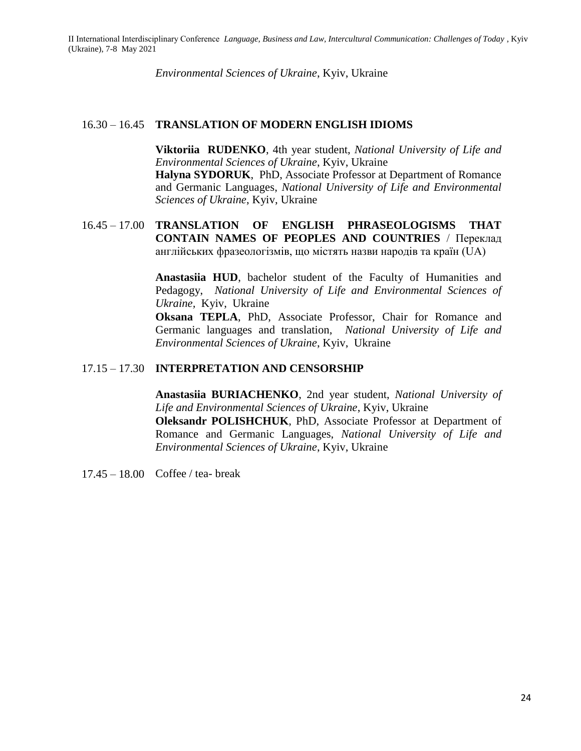*Environmental Sciences of Ukraine*, Kyiv, Ukraine

#### 16.30 – 16.45 **TRANSLATION OF MODERN ENGLISH IDIOMS**

**Viktoriia RUDENKO**, 4th year student, *National University of Life and Environmental Sciences of Ukraine*, Kyiv, Ukraine **Halyna SYDORUK**, PhD, Associate Professor at Department of Romance and Germanic Languages, *National University of Life and Environmental Sciences of Ukraine*, Kyiv, Ukraine

## 16.45 – 17.00 **TRANSLATION OF ENGLISH PHRASEOLOGISMS THAT CONTAIN NAMES OF PEOPLES AND COUNTRIES** / Переклад англійських фразеологізмів, що містять назви народів та країн (UA)

**Anastasiia HUD**, bachelor student of the Faculty of Humanities and Pedagogy, *National University of Life and Environmental Sciences of Ukraine,* Kyiv, Ukraine

**Oksana TEPLA**, PhD, Associate Professor, Chair for Romance and Germanic languages and translation, *National University of Life and Environmental Sciences of Ukraine*, Kyiv, Ukraine

## 17.15 – 17.30 **INTERPRETATION AND CENSORSHIP**

**Anastasiia BURIACHENKO**, 2nd year student, *National University of Life and Environmental Sciences of Ukraine*, Kyiv, Ukraine **Oleksandr POLISHCHUK**, PhD, Associate Professor at Department of Romance and Germanic Languages, *National University of Life and Environmental Sciences of Ukraine*, Kyiv, Ukraine

17.45 – 18.00 Coffee / tea- break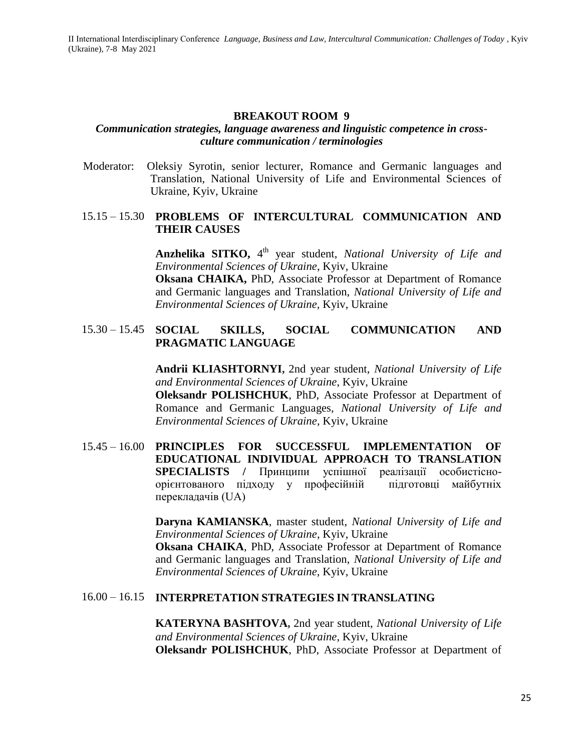#### **BREAKOUT ROOM 9**

#### *Communication strategies, language awareness and linguistic competence in crossculture communication / terminologies*

Moderator:Oleksiy Syrotin, senior lecturer, Romance and Germanic languages and Translation, National University of Life and Environmental Sciences of Ukraine*,* Kyiv, Ukraine

#### 15.15 – 15.30 **PROBLEMS OF INTERCULTURAL COMMUNICATION AND THEIR CAUSES**

**Anzhelika SITKO,** 4<sup>th</sup> year student, *National University of Life and Environmental Sciences of Ukraine*, Kyiv, Ukraine

**Oksana CHAIKA,** PhD, Associate Professor at Department of Romance and Germanic languages and Translation, *National University of Life and Environmental Sciences of Ukraine,* Kyiv, Ukraine

## 15.30 – 15.45 **SOCIAL SKILLS, SOCIAL COMMUNICATION AND PRAGMATIC LANGUAGE**

**Andrii KLIASHTORNYI,** 2nd year student, *National University of Life and Environmental Sciences of Ukraine*, Kyiv, Ukraine

**Oleksandr POLISHCHUK**, PhD, Associate Professor at Department of Romance and Germanic Languages, *National University of Life and Environmental Sciences of Ukraine*, Kyiv, Ukraine

15.45 – 16.00 **PRINCIPLES FOR SUCCESSFUL IMPLEMENTATION OF EDUCATIONAL INDIVIDUAL APPROACH TO TRANSLATION SPECIALISTS /** Принципи успішної реалізації особистісноорієнтованого підходу у професійній підготовці майбутніх перекладачів (UA)

> **Daryna KAMIANSKA**, master student, *National University of Life and Environmental Sciences of Ukraine*, Kyiv, Ukraine **Oksana CHAIKA**, PhD, Associate Professor at Department of Romance and Germanic languages and Translation, *National University of Life and Environmental Sciences of Ukraine,* Kyiv, Ukraine

#### 16.00 – 16.15 **INTERPRETATION STRATEGIES IN TRANSLATING**

**KATERYNA BASHTOVA,** 2nd year student, *National University of Life and Environmental Sciences of Ukraine*, Kyiv, Ukraine **Oleksandr POLISHCHUK**, PhD, Associate Professor at Department of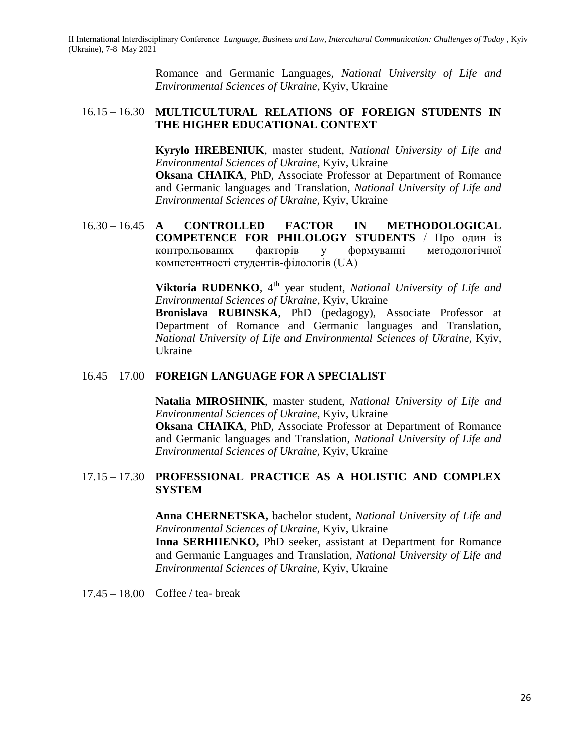Romance and Germanic Languages, *National University of Life and Environmental Sciences of Ukraine*, Kyiv, Ukraine

## 16.15 – 16.30 **MULTICULTURAL RELATIONS OF FOREIGN STUDENTS IN THE HIGHER EDUCATIONAL CONTEXT**

**Kyrylo HREBENIUK**, master student, *National University of Life and Environmental Sciences of Ukraine*, Kyiv, Ukraine

**Oksana CHAIKA**, PhD, Associate Professor at Department of Romance and Germanic languages and Translation, *National University of Life and Environmental Sciences of Ukraine,* Kyiv, Ukraine

16.30 – 16.45 **A CONTROLLED FACTOR IN METHODOLOGICAL COMPETENCE FOR PHILOLOGY STUDENTS** / Про один із контрольованих факторів у формуванні методологічної компетентності студентів-філологів (UA)

> **Viktoria RUDENKO**, 4<sup>th</sup> year student, *National University of Life and Environmental Sciences of Ukraine*, Kyiv, Ukraine

> **Bronislava RUBINSKA**, PhD (pedagogy), Associate Professor at Department of Romance and Germanic languages and Translation, *National University of Life and Environmental Sciences of Ukraine,* Kyiv, Ukraine

#### 16.45 – 17.00 **FOREIGN LANGUAGE FOR A SPECIALIST**

**Natalia MIROSHNIK**, master student, *National University of Life and Environmental Sciences of Ukraine*, Kyiv, Ukraine **Oksana CHAIKA**, PhD, Associate Professor at Department of Romance and Germanic languages and Translation, *National University of Life and* 

## 17.15 – 17.30 **PROFESSIONAL PRACTICE AS A HOLISTIC AND COMPLEX SYSTEM**

*Environmental Sciences of Ukraine,* Kyiv, Ukraine

**Anna CHERNETSKA,** bachelor student, *National University of Life and Environmental Sciences of Ukraine,* Kyiv, Ukraine

**Inna SERHIIENKO,** PhD seeker, assistant at Department for Romance and Germanic Languages and Translation, *National University of Life and Environmental Sciences of Ukraine,* Kyiv, Ukraine

17.45 – 18.00 Coffee / tea- break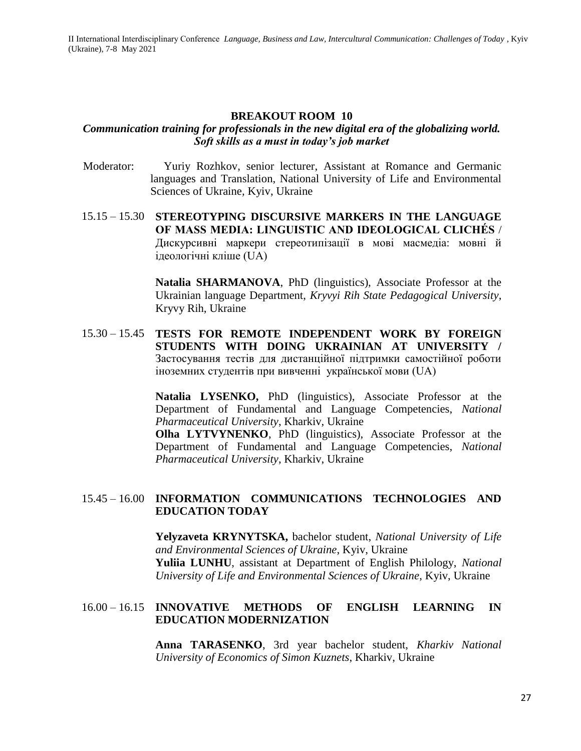#### **BREAKOUT ROOM 10**

#### *Communication training for professionals in the new digital era of the globalizing world. Soft skills as a must in today's job market*

- Moderator:Yuriy Rozhkov, senior lecturer, Assistant at Romance and Germanic languages and Translation, National University of Life and Environmental Sciences of Ukraine*,* Kyiv, Ukraine
- 15.15 15.30 **STEREOTYPING DISCURSIVE MARKERS IN THE LANGUAGE OF MASS MEDIA: LINGUISTIC AND IDEOLOGICAL CLICHÉS** / Дискурсивні маркери стереотипізації в мові масмедіа: мовні й ідеологічні кліше (UA)

**Natalia SHARMANOVA**, PhD (linguistics), Associate Professor at the Ukrainian language Department, *Kryvyi Rih State Pedagogical University*, Kryvy Rih, Ukraine

15.30 – 15.45 **TESTS FOR REMOTE INDEPENDENT WORK BY FOREIGN STUDENTS WITH DOING UKRAINIAN AT UNIVERSITY /**  Застосування тестів для дистанційної підтримки самостійної роботи іноземних студентів при вивченні української мови (UA)

> **Natalia LYSENKO,** PhD (linguistics), Associate Professor at the Department of Fundamental and Language Competencies, *National Pharmaceutical University*, Kharkiv, Ukraine

> **Olha LYTVYNENKO**, PhD (linguistics), Associate Professor at the Department of Fundamental and Language Competencies, *National Pharmaceutical University*, Kharkiv, Ukraine

#### 15.45 – 16.00 **INFORMATION COMMUNICATIONS TECHNOLOGIES AND EDUCATION TODAY**

**Yelyzaveta KRYNYTSKA,** bachelor student, *National University of Life and Environmental Sciences of Ukraine*, Kyiv, Ukraine **Yuliia LUNHU**, assistant at Department of English Philology, *National University of Life and Environmental Sciences of Ukraine*, Kyiv, Ukraine

#### 16.00 – 16.15 **INNOVATIVE METHODS OF ENGLISH LEARNING IN EDUCATION MODERNIZATION**

**Anna TARASENKO**, 3rd year bachelor student, *Kharkiv National University of Economics of Simon Kuznets*, Kharkiv, Ukraine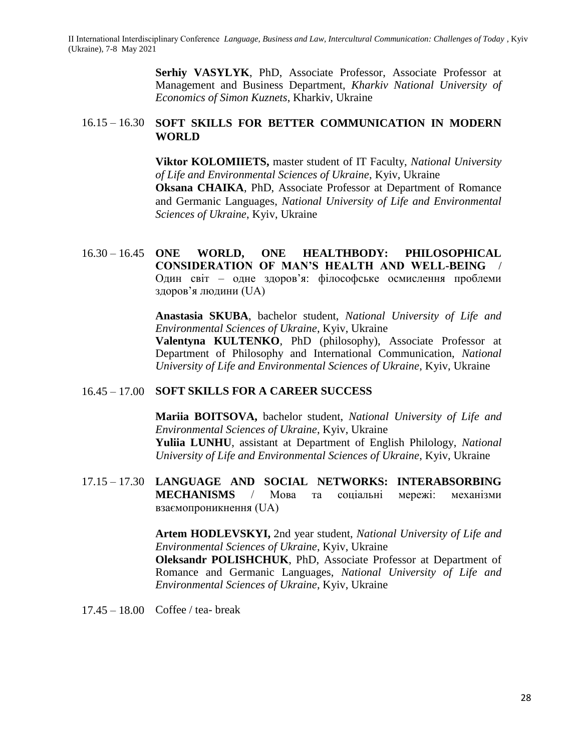> **Serhiy VASYLYK**, PhD, Associate Professor, Associate Professor at Management and Business Department, *Kharkiv National University of Economics of Simon Kuznets*, Kharkiv, Ukraine

#### 16.15 – 16.30 **SOFT SKILLS FOR BETTER COMMUNICATION IN MODERN WORLD**

**Viktor KOLOMIIETS,** master student of IT Faculty, *National University of Life and Environmental Sciences of Ukraine*, Kyiv, Ukraine **Oksana CHAIKA**, PhD, Associate Professor at Department of Romance and Germanic Languages, *National University of Life and Environmental Sciences of Ukraine*, Kyiv, Ukraine

16.30 – 16.45 **ONE WORLD, ONE HEALTHBODY: PHILOSOPHICAL CONSIDERATION OF MAN'S HEALTH AND WELL-BEING** / Один світ – одне здоров'я: філософське осмислення проблеми здоров'я людини (UA)

> **Anastasia SKUBA**, bachelor student, *National University of Life and Environmental Sciences of Ukraine*, Kyiv, Ukraine

> **Valentyna KULTENKO**, PhD (philosophy), Associate Professor at Department of Philosophy and International Communication, *National University of Life and Environmental Sciences of Ukraine*, Kyiv, Ukraine

## 16.45 – 17.00 **SOFT SKILLS FOR A CAREER SUCCESS**

**Mariia BOITSOVA,** bachelor student, *National University of Life and Environmental Sciences of Ukraine*, Kyiv, Ukraine **Yuliia LUNHU**, assistant at Department of English Philology, *National University of Life and Environmental Sciences of Ukraine*, Kyiv, Ukraine

17.15 – 17.30 **LANGUAGE AND SOCIAL NETWORKS: INTERABSORBING MECHANISMS** / Мова та соціальні мережі: механізми взаємопроникнення (UA)

> **Artem HODLEVSKYI,** 2nd year student, *National University of Life and Environmental Sciences of Ukraine*, Kyiv, Ukraine

> **Oleksandr POLISHCHUK**, PhD, Associate Professor at Department of Romance and Germanic Languages, *National University of Life and Environmental Sciences of Ukraine*, Kyiv, Ukraine

17.45 – 18.00 Coffee / tea- break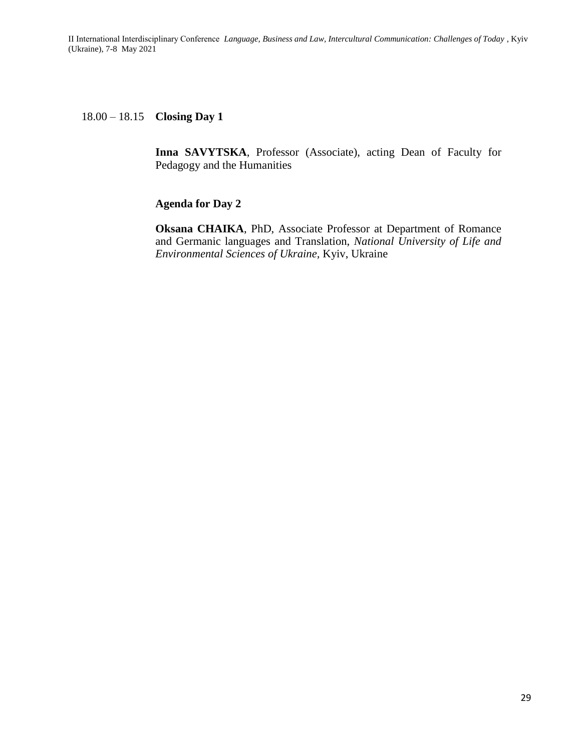18.00 – 18.15 **Closing Day 1**

**Inna SAVYTSKA**, Professor (Associate), acting Dean of Faculty for Pedagogy and the Humanities

#### **Agenda for Day 2**

**Oksana CHAIKA**, PhD, Associate Professor at Department of Romance and Germanic languages and Translation, *National University of Life and Environmental Sciences of Ukraine,* Kyiv, Ukraine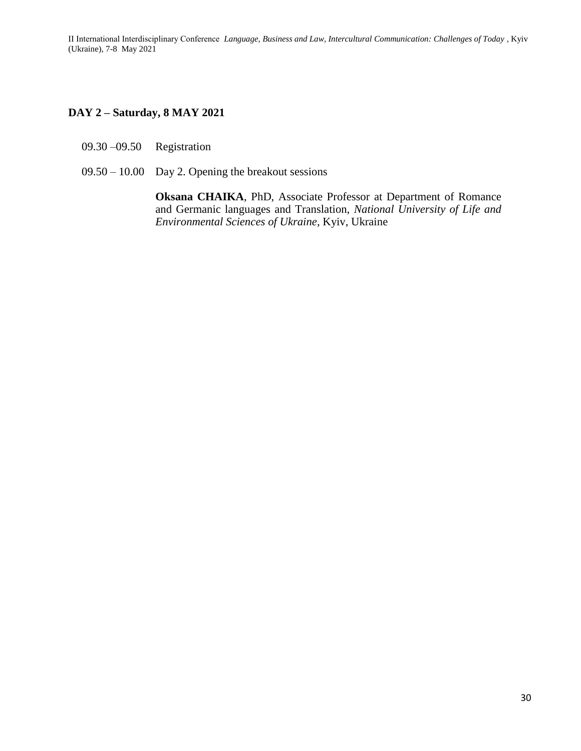## **DAY 2 – Saturday, 8 MAY 2021**

- 09.30 –09.50 Registration
- 09.50 10.00 Day 2. Opening the breakout sessions

**Oksana CHAIKA**, PhD, Associate Professor at Department of Romance and Germanic languages and Translation, *National University of Life and Environmental Sciences of Ukraine,* Kyiv, Ukraine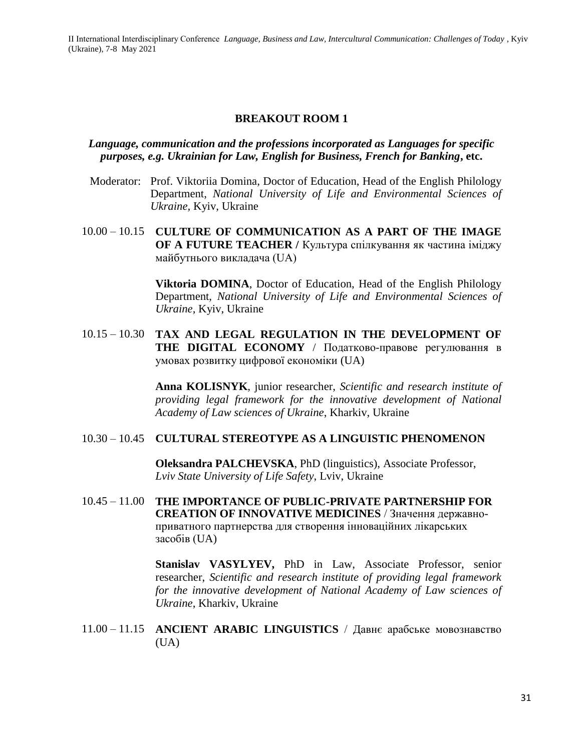#### **BREAKOUT ROOM 1**

#### *Language, communication and the professions incorporated as Languages for specific purposes, e.g. Ukrainian for Law, English for Business, French for Banking***, etc.**

- Moderator:Prof. Viktoriia Domina, Doctor of Education, Head of the English Philology Department, *National University of Life and Environmental Sciences of Ukraine,* Kyiv, Ukraine
- 10.00 10.15 **CULTURE OF COMMUNICATION AS A PART OF THE IMAGE OF A FUTURE TEACHER /** Культура спілкування як частина іміджу майбутнього викладача (UA)

**Viktoria DOMINA**, Doctor of Education, Head of the English Philology Department, *National University of Life and Environmental Sciences of Ukraine,* Kyiv, Ukraine

10.15 – 10.30 **TAX AND LEGAL REGULATION IN THE DEVELOPMENT OF THE DIGITAL ECONOMY** / Податково-правове регулювання в умовах розвитку цифрової економіки (UA)

> **Anna KOLISNYK**, junior researcher, *Scientific and research institute of providing legal framework for the innovative development of National Academy of Law sciences of Ukraine*, Kharkiv, Ukraine

## 10.30 – 10.45 **CULTURAL STEREOTYPE AS A LINGUISTIC PHENOMENON**

**Oleksandra PALCHEVSKA**, PhD (linguistics), Associate Professor, *Lviv State University of Life Safety*, Lviv, Ukraine

10.45 – 11.00 **THE IMPORTANCE OF PUBLIC-PRIVATE PARTNERSHIP FOR CREATION OF INNOVATIVE MEDICINES** / Значення державноприватного партнерства для створення інноваційних лікарських засобів (UA)

> **Stanislav VASYLYEV,** PhD in Law, Associate Professor, senior researcher, *Scientific and research institute of providing legal framework for the innovative development of National Academy of Law sciences of Ukraine*, Kharkiv, Ukraine

11.00 – 11.15 **ANCIENT ARABIC LINGUISTICS** / Давнє арабське мовознавство  $(UA)$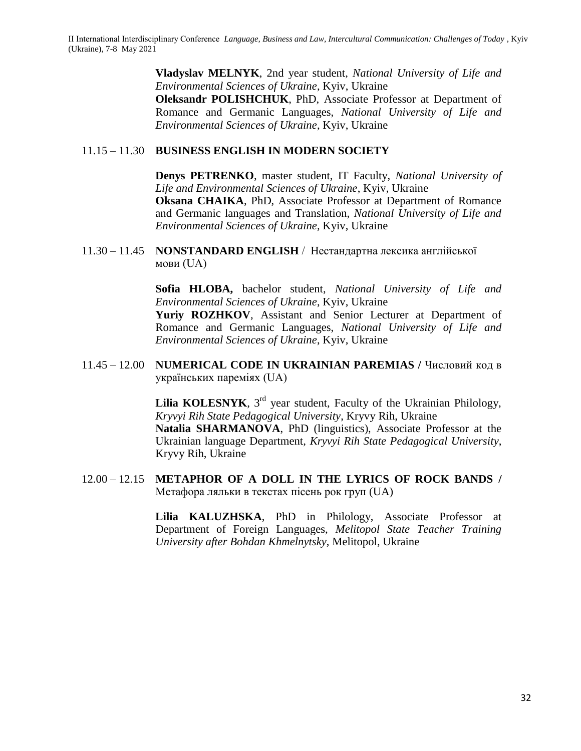**Vladyslav MELNYK**, 2nd year student, *National University of Life and Environmental Sciences of Ukraine*, Kyiv, Ukraine **Oleksandr POLISHCHUK**, PhD, Associate Professor at Department of Romance and Germanic Languages, *National University of Life and Environmental Sciences of Ukraine*, Kyiv, Ukraine

## 11.15 – 11.30 **BUSINESS ENGLISH IN MODERN SOCIETY**

**Denys PETRENKO**, master student, IT Faculty, *National University of Life and Environmental Sciences of Ukraine*, Kyiv, Ukraine **Oksana CHAIKA**, PhD, Associate Professor at Department of Romance and Germanic languages and Translation, *National University of Life and Environmental Sciences of Ukraine,* Kyiv, Ukraine

11.30 – 11.45 **NONSTANDARD ENGLISH** / Нестандартна лексика англійської мови (UA)

> **Sofia HLOBA,** bachelor student, *National University of Life and Environmental Sciences of Ukraine*, Kyiv, Ukraine **Yuriy ROZHKOV**, Assistant and Senior Lecturer at Department of Romance and Germanic Languages, *National University of Life and Environmental Sciences of Ukraine*, Kyiv, Ukraine

11.45 – 12.00 **NUMERICAL CODE IN UKRAINIAN PAREMIAS /** Числовий код в українських пареміях (UA)

> **Lilia KOLESNYK**,  $3<sup>rd</sup>$  year student, Faculty of the Ukrainian Philology, *Kryvyi Rih State Pedagogical University*, Kryvy Rih, Ukraine **Natalia SHARMANOVA**, PhD (linguistics), Associate Professor at the Ukrainian language Department, *Kryvyi Rih State Pedagogical University*, Kryvy Rih, Ukraine

12.00 – 12.15 **METAPHOR OF A DOLL IN THE LYRICS OF ROCK BANDS /**  Метафора ляльки в текстах пісень рок груп (UA)

> **Lilia KALUZHSKA**, PhD in Philology, Associate Professor at Department of Foreign Languages, *Melitopol State Teacher Training University after Bohdan Khmelnytsky*, Melitopol, Ukraine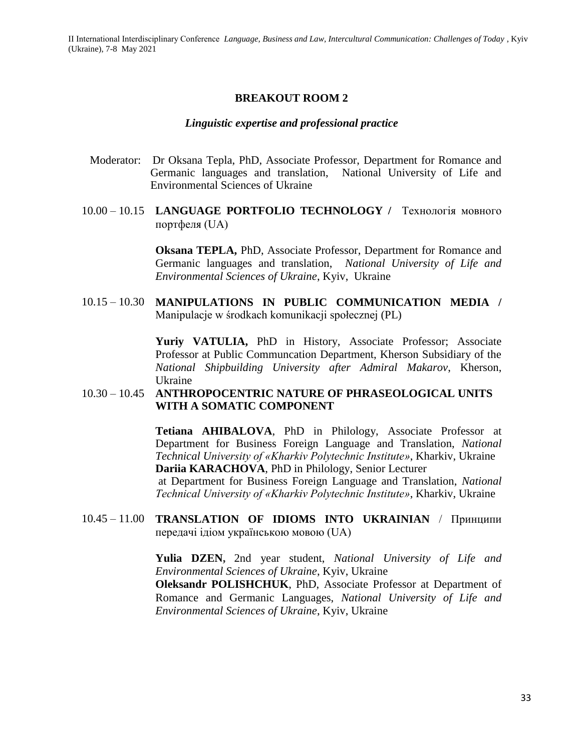#### **BREAKOUT ROOM 2**

#### *Linguistic expertise and professional practice*

- Moderator:Dr Oksana Tepla, PhD, Associate Professor, Department for Romance and Germanic languages and translation, National University of Life and Environmental Sciences of Ukraine
- 10.00 10.15 **LANGUAGE PORTFOLIO TECHNOLOGY /** Технологія мовного портфеля (UA)

**Oksana TEPLA,** PhD, Associate Professor, Department for Romance and Germanic languages and translation, *National University of Life and Environmental Sciences of Ukraine*, Kyiv, Ukraine

10.15 – 10.30 **MANIPULATIONS IN PUBLIC COMMUNICATION MEDIA /**  Manipulacje w środkach komunikacji społecznej (PL)

> **Yuriy VATULIA,** PhD in History, Associate Professor; Associate Professor at Public Communcation Department, Kherson Subsidiary of the *National Shipbuilding University after Admiral Makarov*, Kherson, Ukraine

#### 10.30 – 10.45 **ANTHROPOCENTRIC NATURE OF PHRASEOLOGICAL UNITS WITH A SOMATIC COMPONENT**

**Tetiana AHIBALOVA**, PhD in Philology, Associate Professor at Department for Business Foreign Language and Translation, *National Technical University of «Kharkiv Polytechnic Institute»*, Kharkiv, Ukraine **Dariia KARACHOVA**, PhD in Philology, Senior Lecturer

at Department for Business Foreign Language and Translation, *National Technical University of «Kharkiv Polytechnic Institute»*, Kharkiv, Ukraine

10.45 – 11.00 **TRANSLATION OF IDIOMS INTO UKRAINIAN** / Принципи передачі ідіом українською мовою (UA)

> **Yulia DZEN,** 2nd year student, *National University of Life and Environmental Sciences of Ukraine*, Kyiv, Ukraine

> **Oleksandr POLISHCHUK**, PhD, Associate Professor at Department of Romance and Germanic Languages, *National University of Life and Environmental Sciences of Ukraine*, Kyiv, Ukraine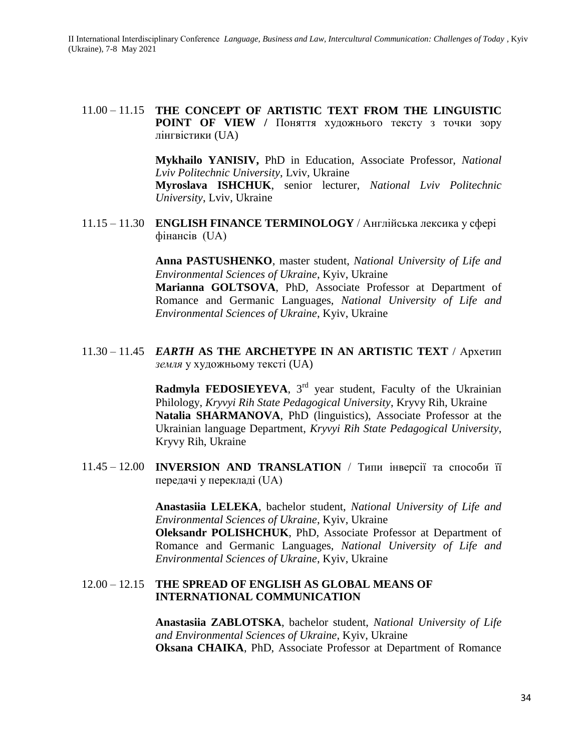11.00 – 11.15 **THE CONCEPT OF ARTISTIC TEXT FROM THE LINGUISTIC POINT OF VIEW /** Поняття художнього тексту з точки зору лінгвістики (UA)

> **Mykhailo YANISIV,** PhD in Education, Associate Professor, *National Lviv Politechnic University*, Lviv, Ukraine

> **Myroslava ISHCHUK**, senior lecturer, *National Lviv Politechnic University*, Lviv, Ukraine

11.15 – 11.30 **ENGLISH FINANCE TERMINOLOGY** / Англійська лексика у сфері фінансів (UA)

> **Anna PASTUSHENKO**, master student, *National University of Life and Environmental Sciences of Ukraine*, Kyiv, Ukraine **Marianna GOLTSOVA**, PhD, Associate Professor at Department of Romance and Germanic Languages, *National University of Life and Environmental Sciences of Ukraine*, Kyiv, Ukraine

11.30 – 11.45 *EARTH* **AS THE ARCHETYPE IN AN ARTISTIC TEXT** / Архетип *земля* у художньому тексті (UA)

> **Radmyla FEDOSIEYEVA**, 3<sup>rd</sup> year student, Faculty of the Ukrainian Philology, *Kryvyi Rih State Pedagogical University*, Kryvy Rih, Ukraine **Natalia SHARMANOVA**, PhD (linguistics), Associate Professor at the Ukrainian language Department, *Kryvyi Rih State Pedagogical University*, Kryvy Rih, Ukraine

11.45 – 12.00 **INVERSION AND TRANSLATION** / Типи інверсії та способи її передачі у перекладі (UA)

> **Anastasiia LELEKA**, bachelor student, *National University of Life and Environmental Sciences of Ukraine*, Kyiv, Ukraine **Oleksandr POLISHCHUK**, PhD, Associate Professor at Department of Romance and Germanic Languages, *National University of Life and Environmental Sciences of Ukraine*, Kyiv, Ukraine

## 12.00 – 12.15 **THE SPREAD OF ENGLISH AS GLOBAL MEANS OF INTERNATIONAL COMMUNICATION**

**Anastasiia ZABLOTSKA**, bachelor student, *National University of Life and Environmental Sciences of Ukraine*, Kyiv, Ukraine **Oksana CHAIKA**, PhD, Associate Professor at Department of Romance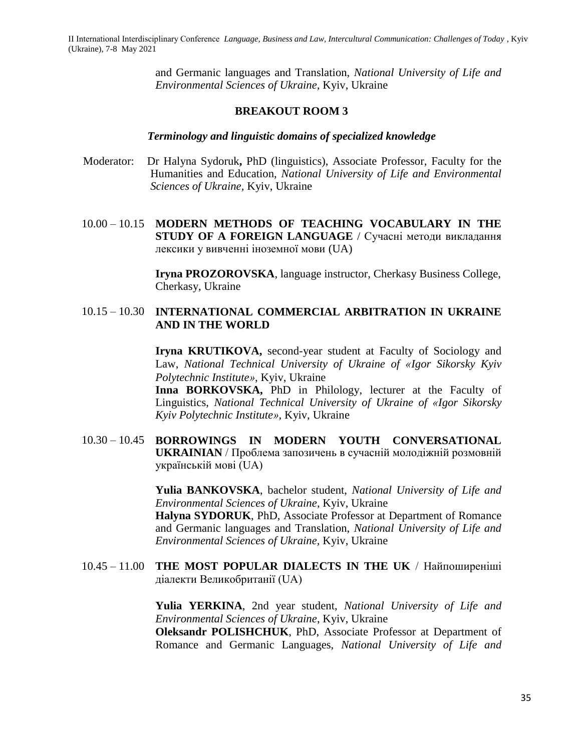> and Germanic languages and Translation, *National University of Life and Environmental Sciences of Ukraine,* Kyiv, Ukraine

#### **BREAKOUT ROOM 3**

#### *Terminology and linguistic domains of specialized knowledge*

- Moderator:Dr Halyna Sydoruk**,** PhD (linguistics), Associate Professor, Faculty for the Humanities and Education, *National University of Life and Environmental Sciences of Ukraine,* Kyiv, Ukraine
- 10.00 10.15 **MODERN METHODS OF TEACHING VOCABULARY IN THE STUDY OF A FOREIGN LANGUAGE** / Сучасні методи викладання лексики у вивченні іноземної мови (UA)

**Iryna PROZOROVSKA**, language instructor, Cherkasy Business College, Cherkasy, Ukraine

#### 10.15 – 10.30 **INTERNATIONAL COMMERCIAL ARBITRATION IN UKRAINE AND IN THE WORLD**

**Iryna KRUTIKOVA,** second-year student at Faculty of Sociology and Law, *National Technical University of Ukraine of «Igor Sikorsky Kyiv Polytechnic Institute»,* Kyiv, Ukraine

**Inna BORKOVSKA,** PhD in Philology, lecturer at the Faculty of Linguistics, *National Technical University of Ukraine of «Igor Sikorsky Kyiv Polytechnic Institute»,* Kyiv, Ukraine

10.30 – 10.45 **BORROWINGS IN MODERN YOUTH CONVERSATIONAL UKRAINIAN** / Проблема запозичень в сучасній молодіжній розмовній українській мові (UA)

> **Yulia BANKOVSKA**, bachelor student, *National University of Life and Environmental Sciences of Ukraine*, Kyiv, Ukraine **Halyna SYDORUK**, PhD, Associate Professor at Department of Romance and Germanic languages and Translation, *National University of Life and Environmental Sciences of Ukraine,* Kyiv, Ukraine

10.45 – 11.00 **THE MOST POPULAR DIALECTS IN THE UK** / Найпоширеніші діалекти Великобританії (UA)

> **Yulia YERKINA**, 2nd year student, *National University of Life and Environmental Sciences of Ukraine*, Kyiv, Ukraine **Oleksandr POLISHCHUK**, PhD, Associate Professor at Department of Romance and Germanic Languages, *National University of Life and*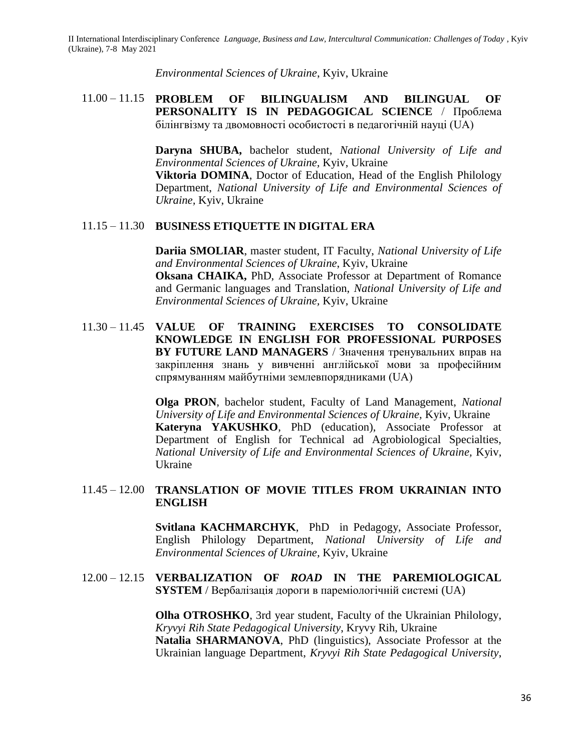*Environmental Sciences of Ukraine*, Kyiv, Ukraine

## 11.00 – 11.15 **PROBLEM OF BILINGUALISM AND BILINGUAL OF PERSONALITY IS IN PEDAGOGICAL SCIENCE** / Проблема білінгвізму та двомовності особистості в педагогічній науці (UA)

**Daryna SHUBA,** bachelor student, *National University of Life and Environmental Sciences of Ukraine,* Kyiv, Ukraine

**Viktoria DOMINA**, Doctor of Education, Head of the English Philology Department, *National University of Life and Environmental Sciences of Ukraine,* Kyiv, Ukraine

## 11.15 – 11.30 **BUSINESS ETIQUETTE IN DIGITAL ERA**

**Dariia SMOLIAR**, master student, IT Faculty, *National University of Life and Environmental Sciences of Ukraine*, Kyiv, Ukraine

**Oksana CHAIKA,** PhD, Associate Professor at Department of Romance and Germanic languages and Translation, *National University of Life and Environmental Sciences of Ukraine,* Kyiv, Ukraine

11.30 – 11.45 **VALUE OF TRAINING EXERCISES TO CONSOLIDATE KNOWLEDGE IN ENGLISH FOR PROFESSIONAL PURPOSES BY FUTURE LAND MANAGERS** / Значення тренувальних вправ на закріплення знань у вивченні англійської мови за професійним спрямуванням майбутніми землевпорядниками (UA)

> **Olga PRON**, bachelor student, Faculty of Land Management, *National University of Life and Environmental Sciences of Ukraine,* Kyiv, Ukraine **Kateryna YAKUSHKO**, PhD (education), Associate Professor at Department of English for Technical ad Agrobiological Specialties, *National University of Life and Environmental Sciences of Ukraine,* Kyiv, Ukraine

## 11.45 – 12.00 **TRANSLATION OF MOVIE TITLES FROM UKRAINIAN INTO ENGLISH**

**Svitlana KACHMARCHYK**, PhD in Pedagogy, Associate Professor, English Philology Department, *National University of Life and Environmental Sciences of Ukraine,* Kyiv, Ukraine

#### 12.00 – 12.15 **VERBALIZATION OF** *ROAD* **IN THE PAREMIOLOGICAL SYSTEM** / Вербалізація дороги в пареміологічній системі (UA)

**Olha OTROSHKO**, 3rd year student, Faculty of the Ukrainian Philology, *Kryvyi Rih State Pedagogical University*, Kryvy Rih, Ukraine **Natalia SHARMANOVA**, PhD (linguistics), Associate Professor at the Ukrainian language Department, *Kryvyi Rih State Pedagogical University*,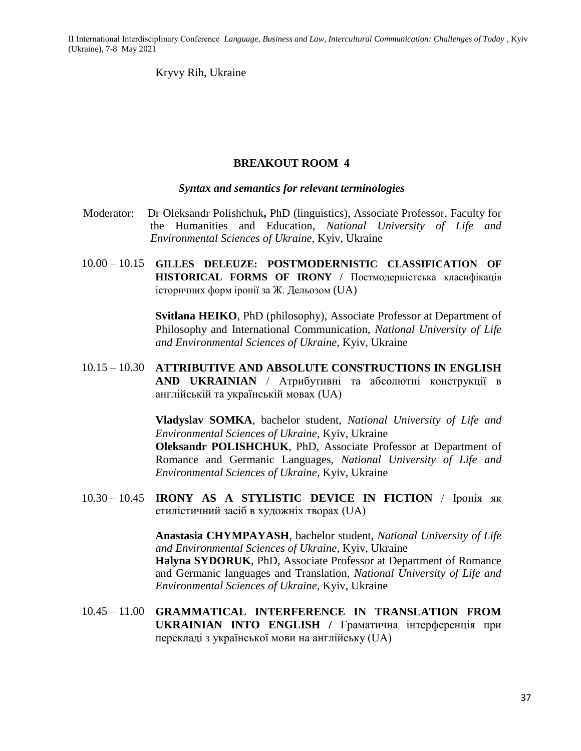Kryvy Rih, Ukraine

#### **BREAKOUT ROOM 4**

#### *Syntax and semantics for relevant terminologies*

- Moderator:Dr Oleksandr Polishchuk**,** PhD (linguistics), Associate Professor, Faculty for the Humanities and Education, *National University of Life and Environmental Sciences of Ukraine,* Kyiv, Ukraine
- 10.00 10.15 **GILLES DELEUZE: POSTMODERNISTIC CLASSIFICATION OF HISTORICAL FORMS OF IRONY** / Постмодерністська класифікація історичних форм іронії за Ж. Дельозом (UA)

**Svitlana HEIKO**, PhD (philosophy), Associate Professor at Department of Philosophy and International Communication, *National University of Life and Environmental Sciences of Ukraine,* Kyiv, Ukraine

10.15 – 10.30 **ATTRIBUTIVE AND ABSOLUTE CONSTRUCTIONS IN ENGLISH AND UKRAINIAN** / Атрибутивні та абсолютні конструкції в англійській та українській мовах (UA)

> **Vladyslav SOMKA**, bachelor student, *National University of Life and Environmental Sciences of Ukraine*, Kyiv, Ukraine

> **Oleksandr POLISHCHUK**, PhD, Associate Professor at Department of Romance and Germanic Languages, *National University of Life and Environmental Sciences of Ukraine*, Kyiv, Ukraine

10.30 – 10.45 **IRONY AS A STYLISTIC DEVICE IN FICTION** / Іронія як стилістичний засіб в художніх творах (UA)

> **Anastasia CHYMPAYASH**, bachelor student, *National University of Life and Environmental Sciences of Ukraine*, Kyiv, Ukraine **Halyna SYDORUK**, PhD, Associate Professor at Department of Romance and Germanic languages and Translation, *National University of Life and Environmental Sciences of Ukraine,* Kyiv, Ukraine

10.45 – 11.00 **GRAMMATICAL INTERFERENCE IN TRANSLATION FROM UKRAINIAN INTO ENGLISH /** Граматична інтерференція при перекладі з української мови на англійську (UA)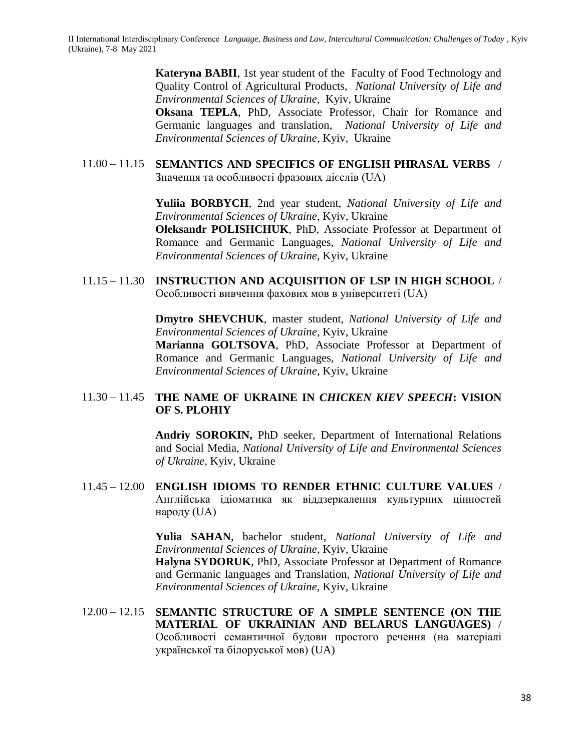**Kateryna BABII**, 1st year student of the Faculty of Food Technology and Quality Control of Agricultural Products, *National University of Life and Environmental Sciences of Ukraine,* Kyiv, Ukraine

**Oksana TEPLA**, PhD, Associate Professor, Chair for Romance and Germanic languages and translation, *National University of Life and Environmental Sciences of Ukraine*, Kyiv, Ukraine

## 11.00 – 11.15 **SEMANTICS AND SPECIFICS OF ENGLISH PHRASAL VERBS** / Значення та особливості фразових дієслів (UA)

**Yuliia BORBYCH**, 2nd year student, *National University of Life and Environmental Sciences of Ukraine*, Kyiv, Ukraine

**Oleksandr POLISHCHUK**, PhD, Associate Professor at Department of Romance and Germanic Languages, *National University of Life and Environmental Sciences of Ukraine*, Kyiv, Ukraine

11.15 – 11.30 **INSTRUCTION AND ACQUISITION OF LSP IN HIGH SCHOOL** / Особливості вивчення фахових мов в університеті (UA)

> **Dmytro SHEVCHUK**, master student, *National University of Life and Environmental Sciences of Ukraine*, Kyiv, Ukraine **Marianna GOLTSOVA**, PhD, Associate Professor at Department of Romance and Germanic Languages, *National University of Life and Environmental Sciences of Ukraine*, Kyiv, Ukraine

## 11.30 – 11.45 **THE NAME OF UKRAINE IN** *CHICKEN KIEV SPEECH***: VISION OF S. PLOHIY**

**Andriy SOROKIN,** PhD seeker, Department of International Relations and Social Media, *National University of Life and Environmental Sciences of Ukraine*, Kyiv, Ukraine

11.45 – 12.00 **ENGLISH IDIOMS TO RENDER ETHNIC CULTURE VALUES** / Англійська ідіоматика як віддзеркалення культурних цінностей народу (UA)

> **Yulia SAHAN**, bachelor student, *National University of Life and Environmental Sciences of Ukraine*, Kyiv, Ukraine

> **Halyna SYDORUK**, PhD, Associate Professor at Department of Romance and Germanic languages and Translation, *National University of Life and Environmental Sciences of Ukraine,* Kyiv, Ukraine

12.00 – 12.15 **SEMANTIC STRUCTURE OF A SIMPLE SENTENCE (ON THE MATERIAL OF UKRAINIAN AND BELARUS LANGUAGES)** / Особливості семантичної будови простого речення (на матеріалі української та білоруської мов) (UA)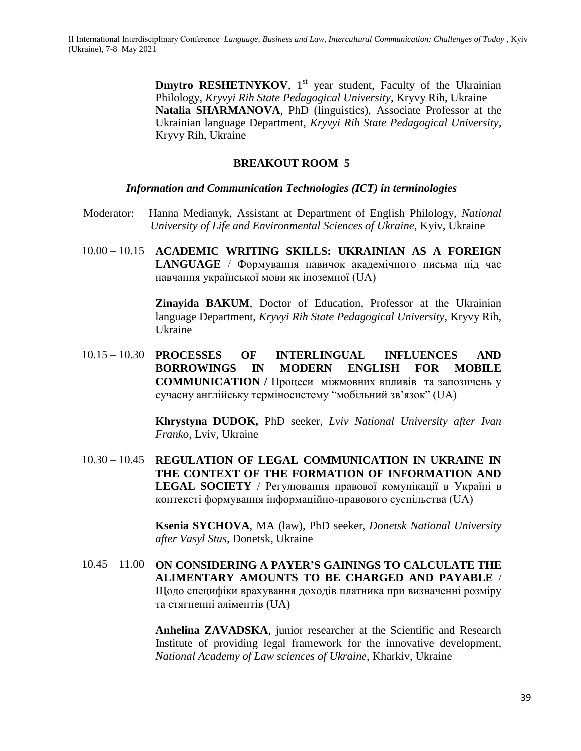**Dmytro RESHETNYKOV**, 1<sup>st</sup> year student, Faculty of the Ukrainian Philology, *Kryvyi Rih State Pedagogical University*, Kryvy Rih, Ukraine **Natalia SHARMANOVA**, PhD (linguistics), Associate Professor at the Ukrainian language Department, *Kryvyi Rih State Pedagogical University,* Kryvy Rih, Ukraine

#### **BREAKOUT ROOM 5**

#### *Information and Communication Technologies (ICT) in terminologies*

- Moderator:Hanna Medianyk, Assistant at Department of English Philology, *National University of Life and Environmental Sciences of Ukraine*, Kyiv, Ukraine
- 10.00 10.15 **ACADEMIC WRITING SKILLS: UKRAINIAN AS A FOREIGN LANGUAGE** / Формування навичок академічного письма під час навчання української мови як іноземної (UA)

**Zinayida BAKUM**, Doctor of Education, Professor at the Ukrainian language Department, *Kryvyi Rih State Pedagogical University*, Kryvy Rih, Ukraine

10.15 – 10.30 **PROCESSES OF INTERLINGUAL INFLUENCES AND BORROWINGS IN MODERN ENGLISH FOR MOBILE COMMUNICATION /** Процеси міжмовних впливів та запозичень у сучасну англійську терміносистему "мобільний зв'язок" (UA)

> **Khrystyna DUDOK,** PhD seeker, *Lviv National University after Ivan Franko,* Lviv, Ukraine

10.30 – 10.45 **REGULATION OF LEGAL COMMUNICATION IN UKRAINE IN THE CONTEXT OF THE FORMATION OF INFORMATION AND LEGAL SOCIETY** / Регулювання правової комунікації в Україні в контексті формування інформаційно-правового суспільства (UA)

> **Ksenia SYCHOVA**, MA (law), PhD seeker, *Donetsk National University after Vasyl Stus*, Donetsk, Ukraine

10.45 – 11.00 **ON CONSIDERING A PAYER'S GAININGS TO CALCULATE THE ALIMENTARY AMOUNTS TO BE CHARGED AND PAYABLE** / Щодо специфіки врахування доходів платника при визначенні розміру та стягненні аліментів (UA)

> **Anhelina ZAVADSKA**, junior researcher at the Scientific and Research Institute of providing legal framework for the innovative development, *National Academy of Law sciences of Ukraine*, Kharkiv, Ukraine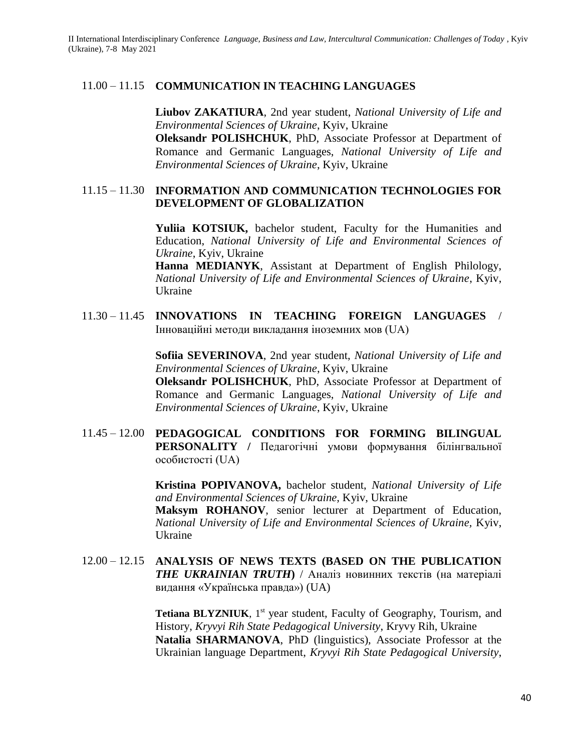#### 11.00 – 11.15 **COMMUNICATION IN TEACHING LANGUAGES**

**Liubov ZAKATIURA**, 2nd year student, *National University of Life and Environmental Sciences of Ukraine*, Kyiv, Ukraine **Oleksandr POLISHCHUK**, PhD, Associate Professor at Department of Romance and Germanic Languages, *National University of Life and Environmental Sciences of Ukraine*, Kyiv, Ukraine

#### 11.15 – 11.30 **INFORMATION AND COMMUNICATION TECHNOLOGIES FOR DEVELOPMENT OF GLOBALIZATION**

**Yuliia KOTSIUK,** bachelor student, Faculty for the Humanities and Education, *National University of Life and Environmental Sciences of Ukraine*, Kyiv, Ukraine

**Hanna MEDIANYK**, Assistant at Department of English Philology, *National University of Life and Environmental Sciences of Ukraine*, Kyiv, Ukraine

11.30 – 11.45 **INNOVATIONS IN TEACHING FOREIGN LANGUAGES** / Інноваційні методи викладання іноземних мов (UA)

> **Sofiia SEVERINOVA**, 2nd year student, *National University of Life and Environmental Sciences of Ukraine*, Kyiv, Ukraine

> **Oleksandr POLISHCHUK**, PhD, Associate Professor at Department of Romance and Germanic Languages, *National University of Life and Environmental Sciences of Ukraine*, Kyiv, Ukraine

11.45 – 12.00 **PEDAGOGICAL CONDITIONS FOR FORMING BILINGUAL PERSONALITY / Педагогічні умови формування білінгвальної** особистості (UA)

> **Kristina POPIVANOVA,** bachelor student, *National University of Life and Environmental Sciences of Ukraine,* Kyiv, Ukraine

> **Maksym ROHANOV**, senior lecturer at Department of Education, *National University of Life and Environmental Sciences of Ukraine,* Kyiv, Ukraine

12.00 – 12.15 **ANALYSIS OF NEWS TEXTS (BASED ON THE PUBLICATION**  *THE UKRAINIAN TRUTH***)** / Аналіз новинних текстів (на матеріалі видання «Українська правда») (UA)

> **Tetiana BLYZNIUK,** 1<sup>st</sup> year student, Faculty of Geography, Tourism, and History, *Kryvyi Rih State Pedagogical University*, Kryvy Rih, Ukraine **Natalia SHARMANOVA**, PhD (linguistics), Associate Professor at the Ukrainian language Department, *Kryvyi Rih State Pedagogical University*,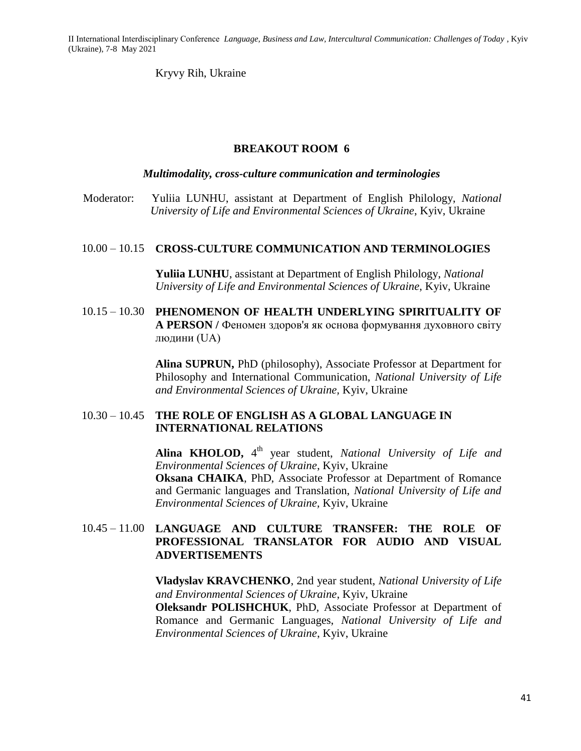Kryvy Rih, Ukraine

## **BREAKOUT ROOM 6**

#### *Multimodality, cross-culture communication and terminologies*

Moderator:Yuliia LUNHU, assistant at Department of English Philology, *National University of Life and Environmental Sciences of Ukraine*, Kyiv, Ukraine

#### 10.00 – 10.15 **CROSS-CULTURE COMMUNICATION AND TERMINOLOGIES**

**Yuliia LUNHU**, assistant at Department of English Philology, *National University of Life and Environmental Sciences of Ukraine*, Kyiv, Ukraine

10.15 – 10.30 **PHENOMENON OF HEALTH UNDERLYING SPIRITUALITY OF A PERSON /** Феномен здоров'я як основа формування духовного світу людини (UA)

> **Alina SUPRUN,** PhD (philosophy), Associate Professor at Department for Philosophy and International Communication, *National University of Life and Environmental Sciences of Ukraine,* Kyiv, Ukraine

#### 10.30 – 10.45 **THE ROLE OF ENGLISH AS A GLOBAL LANGUAGE IN INTERNATIONAL RELATIONS**

Alina KHOLOD, 4<sup>th</sup> year student, *National University of Life and Environmental Sciences of Ukraine*, Kyiv, Ukraine **Oksana CHAIKA**, PhD, Associate Professor at Department of Romance and Germanic languages and Translation, *National University of Life and Environmental Sciences of Ukraine,* Kyiv, Ukraine

## 10.45 – 11.00 **LANGUAGE AND CULTURE TRANSFER: THE ROLE OF PROFESSIONAL TRANSLATOR FOR AUDIO AND VISUAL ADVERTISEMENTS**

**Vladyslav KRAVCHENKO**, 2nd year student, *National University of Life and Environmental Sciences of Ukraine*, Kyiv, Ukraine **Oleksandr POLISHCHUK**, PhD, Associate Professor at Department of Romance and Germanic Languages, *National University of Life and Environmental Sciences of Ukraine*, Kyiv, Ukraine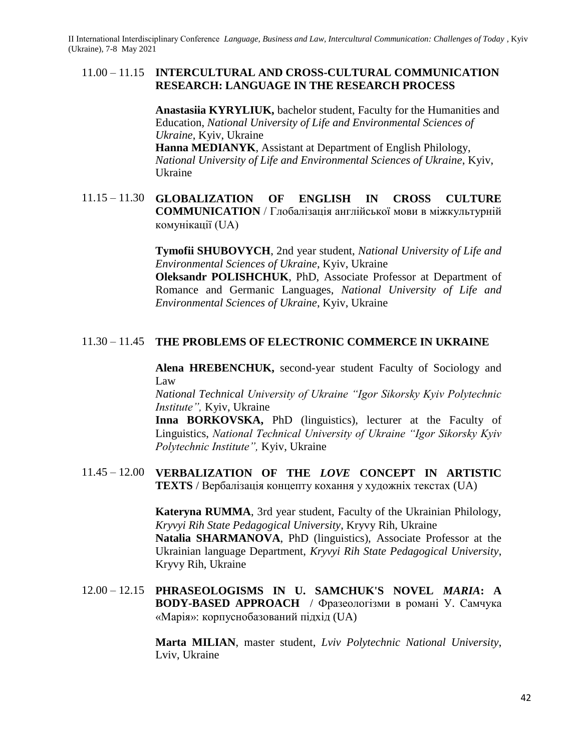#### 11.00 – 11.15 **INTERCULTURAL AND CROSS-CULTURAL COMMUNICATION RESEARCH: LANGUAGE IN THE RESEARCH PROCESS**

**Anastasiia KYRYLIUK,** bachelor student, Faculty for the Humanities and Education, *National University of Life and Environmental Sciences of Ukraine*, Kyiv, Ukraine

**Hanna MEDIANYK**, Assistant at Department of English Philology, *National University of Life and Environmental Sciences of Ukraine*, Kyiv, Ukraine

## 11.15 – 11.30 **GLOBALIZATION OF ENGLISH IN CROSS CULTURE COMMUNICATION** / Глобалізація англійської мови в міжкультурній комунікації (UA)

**Tymofii SHUBOVYCH**, 2nd year student, *National University of Life and Environmental Sciences of Ukraine*, Kyiv, Ukraine

**Oleksandr POLISHCHUK**, PhD, Associate Professor at Department of Romance and Germanic Languages, *National University of Life and Environmental Sciences of Ukraine*, Kyiv, Ukraine

## 11.30 – 11.45 **THE PROBLEMS OF ELECTRONIC COMMERCE IN UKRAINE**

**Alena HREBENCHUK,** second-year student Faculty of Sociology and Law

*National Technical University of Ukraine "Igor Sikorsky Kyiv Polytechnic Institute",* Kyiv, Ukraine

Inna BORKOVSKA, PhD (linguistics), lecturer at the Faculty of Linguistics, *National Technical University of Ukraine "Igor Sikorsky Kyiv Polytechnic Institute",* Kyiv, Ukraine

11.45 – 12.00 **VERBALIZATION OF THE** *LOVE* **CONCEPT IN ARTISTIC TEXTS** / Вербалізація концепту кохання у художніх текстах (UA)

> **Kateryna RUMMA**, 3rd year student, Faculty of the Ukrainian Philology, *Kryvyi Rih State Pedagogical University*, Kryvy Rih, Ukraine **Natalia SHARMANOVA**, PhD (linguistics), Associate Professor at the Ukrainian language Department, *Kryvyi Rih State Pedagogical University*, Kryvy Rih, Ukraine

12.00 – 12.15 **PHRASEOLOGISMS IN U. SAMCHUK'S NOVEL** *MARIA***: A BODY-BASED APPROACH** / Фразеологізми в романі У. Самчука «Марія»: корпуснобазований підхід (UA)

> **Marta MILIAN**, master student, *Lviv Polytechnic National University*, Lviv, Ukraine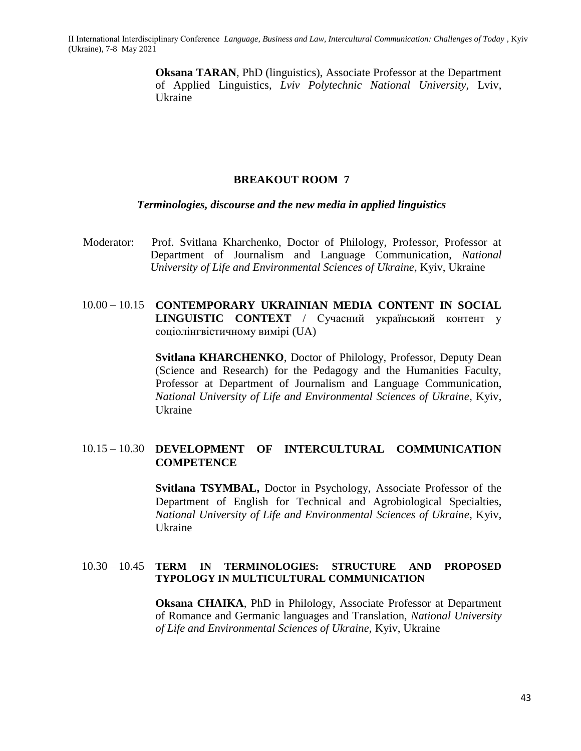> **Oksana TARAN**, PhD (linguistics), Associate Professor at the Department of Applied Linguistics, *Lviv Polytechnic National University*, Lviv, Ukraine

#### **BREAKOUT ROOM 7**

#### *Terminologies, discourse and the new media in applied linguistics*

Moderator:Prof. Svitlana Kharchenko, Doctor of Philology, Professor, Professor at Department of Journalism and Language Communication, *National University of Life and Environmental Sciences of Ukraine*, Kyiv, Ukraine

## 10.00 – 10.15 **CONTEMPORARY UKRAINIAN MEDIA CONTENT IN SOCIAL LINGUISTIC CONTEXT** / Сучасний український контент у соціолінгвістичному вимірі (UA)

**Svitlana KHARCHENKO**, Doctor of Philology, Professor, Deputy Dean (Science and Research) for the Pedagogy and the Humanities Faculty, Professor at Department of Journalism and Language Communication, *National University of Life and Environmental Sciences of Ukraine*, Kyiv, Ukraine

#### 10.15 – 10.30 **DEVELOPMENT OF INTERCULTURAL COMMUNICATION COMPETENCE**

**Svitlana TSYMBAL,** Doctor in Psychology, Associate Professor of the Department of English for Technical and Agrobiological Specialties, *National University of Life and Environmental Sciences of Ukraine*, Kyiv, Ukraine

#### 10.30 – 10.45 **TERM IN TERMINOLOGIES: STRUCTURE AND PROPOSED TYPOLOGY IN MULTICULTURAL COMMUNICATION**

**Oksana CHAIKA**, PhD in Philology, Associate Professor at Department of Romance and Germanic languages and Translation, *National University of Life and Environmental Sciences of Ukraine,* Kyiv, Ukraine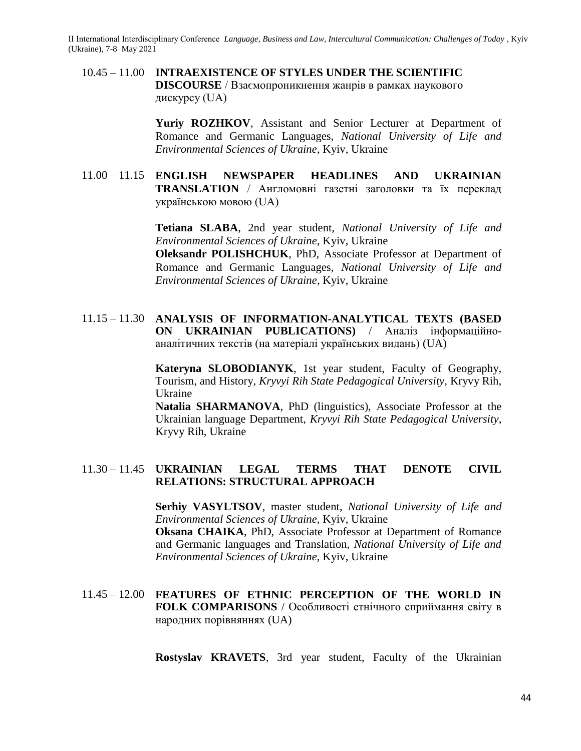10.45 – 11.00 **INTRAEXISTENCE OF STYLES UNDER THE SCIENTIFIC DISCOURSE** / Взаємопроникнення жанрів в рамках наукового дискурсу (UA)

> Yuriy ROZHKOV, Assistant and Senior Lecturer at Department of Romance and Germanic Languages, *National University of Life and Environmental Sciences of Ukraine*, Kyiv, Ukraine

11.00 – 11.15 **ENGLISH NEWSPAPER HEADLINES AND UKRAINIAN TRANSLATION** / Англомовні газетні заголовки та їх переклад українською мовою (UA)

> **Tetiana SLABA**, 2nd year student, *National University of Life and Environmental Sciences of Ukraine*, Kyiv, Ukraine **Oleksandr POLISHCHUK**, PhD, Associate Professor at Department of Romance and Germanic Languages, *National University of Life and Environmental Sciences of Ukraine*, Kyiv, Ukraine

11.15 – 11.30 **ANALYSIS OF INFORMATION-ANALYTICAL TEXTS (BASED ON UKRAINIAN PUBLICATIONS)** / Аналіз інформаційноаналітичних текстів (на матеріалі українських видань) (UA)

**Kateryna SLOBODIANYK**, 1st year student, Faculty of Geography, Tourism, and History, *Kryvyi Rih State Pedagogical University*, Kryvy Rih, Ukraine

**Natalia SHARMANOVA**, PhD (linguistics), Associate Professor at the Ukrainian language Department, *Kryvyi Rih State Pedagogical University*, Kryvy Rih, Ukraine

#### 11.30 – 11.45 **UKRAINIAN LEGAL TERMS THAT DENOTE CIVIL RELATIONS: STRUCTURAL APPROACH**

**Serhiy VASYLTSOV**, master student, *National University of Life and Environmental Sciences of Ukraine,* Kyiv, Ukraine **Oksana CHAIKA**, PhD, Associate Professor at Department of Romance and Germanic languages and Translation, *National University of Life and Environmental Sciences of Ukraine,* Kyiv, Ukraine

11.45 – 12.00 **FEATURES OF ETHNIC PERCEPTION OF THE WORLD IN FOLK COMPARISONS** / Особливості етнічного сприймання світу в народних порівняннях (UA)

**Rostyslav KRAVETS**, 3rd year student, Faculty of the Ukrainian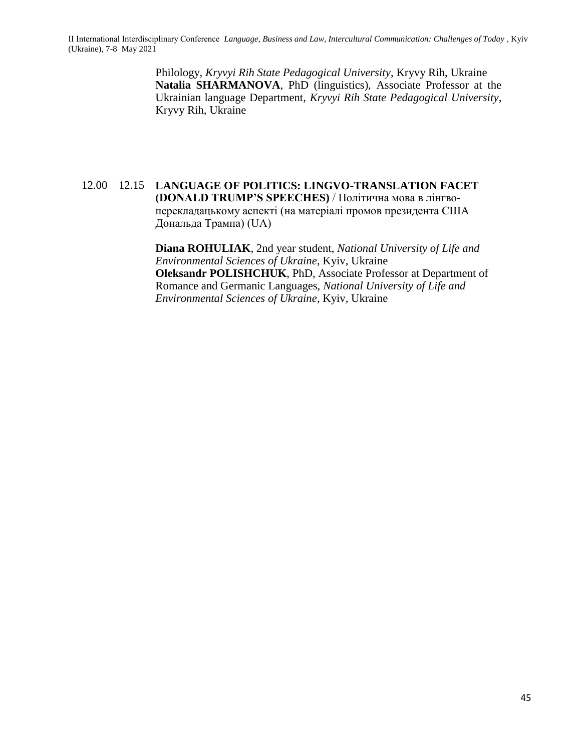> Philology, *Kryvyi Rih State Pedagogical University*, Kryvy Rih, Ukraine **Natalia SHARMANOVA**, PhD (linguistics), Associate Professor at the Ukrainian language Department, *Kryvyi Rih State Pedagogical University*, Kryvy Rih, Ukraine

12.00 – 12.15 **LANGUAGE OF POLITICS: LINGVO-TRANSLATION FACET (DONALD TRUMP'S SPEECHES)** / Політична мова в лінгвоперекладацькому аспекті (на матеріалі промов президента США Дональда Трампа) (UA)

> **Diana ROHULIAK**, 2nd year student, *National University of Life and Environmental Sciences of Ukraine*, Kyiv, Ukraine **Oleksandr POLISHCHUK**, PhD, Associate Professor at Department of Romance and Germanic Languages, *National University of Life and Environmental Sciences of Ukraine*, Kyiv, Ukraine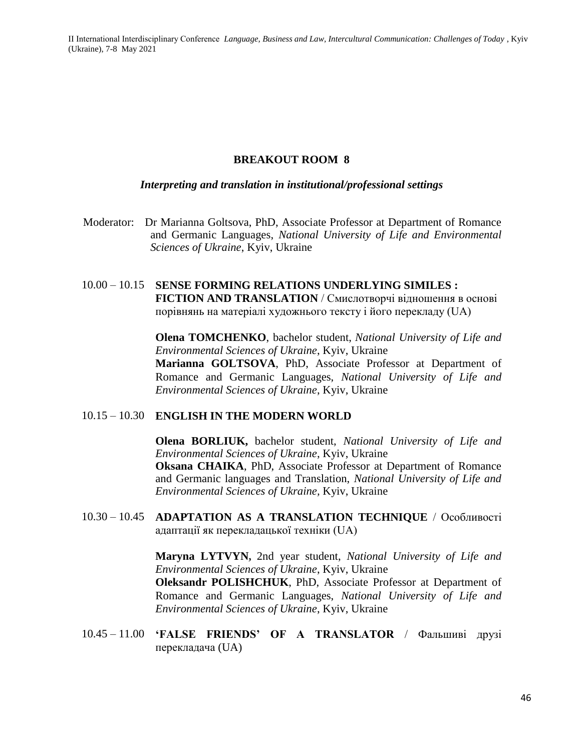## **BREAKOUT ROOM 8**

#### *Interpreting and translation in institutional/professional settings*

Moderator:Dr Marianna Goltsova, PhD, Associate Professor at Department of Romance and Germanic Languages, *National University of Life and Environmental Sciences of Ukraine*, Kyiv, Ukraine

# 10.00 – 10.15 **SENSE FORMING RELATIONS UNDERLYING SIMILES :**

**FICTION AND TRANSLATION** / Смислотворчі відношення в основі порівнянь на матеріалі художнього тексту і його перекладу (UA)

**Olena TOMCHENKO**, bachelor student, *National University of Life and Environmental Sciences of Ukraine*, Kyiv, Ukraine

**Marianna GOLTSOVA**, PhD, Associate Professor at Department of Romance and Germanic Languages, *National University of Life and Environmental Sciences of Ukraine*, Kyiv, Ukraine

#### 10.15 – 10.30 **ENGLISH IN THE MODERN WORLD**

**Olena BORLIUK,** bachelor student, *National University of Life and Environmental Sciences of Ukraine*, Kyiv, Ukraine **Oksana CHAIKA**, PhD, Associate Professor at Department of Romance and Germanic languages and Translation, *National University of Life and Environmental Sciences of Ukraine,* Kyiv, Ukraine

10.30 – 10.45 **ADAPTATION AS A TRANSLATION TECHNIQUE** / Особливості адаптації як перекладацької техніки (UA)

> **Maryna LYTVYN,** 2nd year student, *National University of Life and Environmental Sciences of Ukraine*, Kyiv, Ukraine **Oleksandr POLISHCHUK**, PhD, Associate Professor at Department of Romance and Germanic Languages, *National University of Life and Environmental Sciences of Ukraine*, Kyiv, Ukraine

10.45 – 11.00 **'FALSE FRIENDS' OF A TRANSLATOR** / Фальшиві друзі перекладача (UA)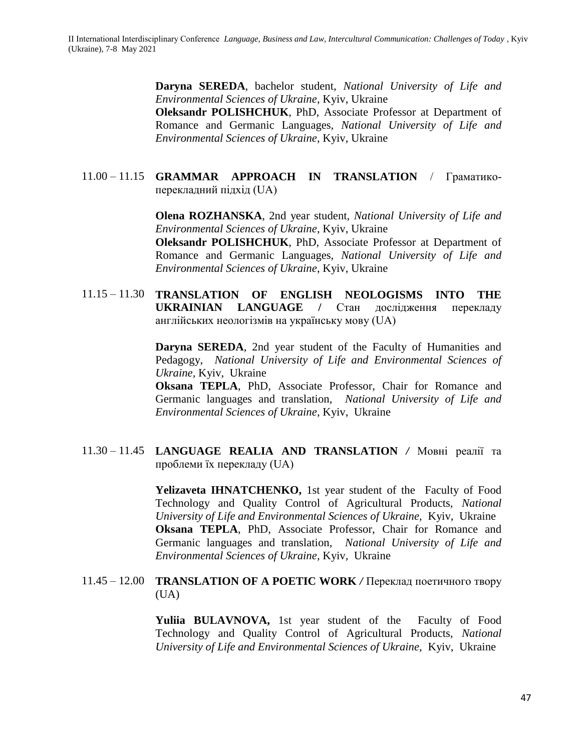**Daryna SEREDA**, bachelor student, *National University of Life and Environmental Sciences of Ukraine*, Kyiv, Ukraine **Oleksandr POLISHCHUK**, PhD, Associate Professor at Department of Romance and Germanic Languages, *National University of Life and Environmental Sciences of Ukraine*, Kyiv, Ukraine

## 11.00 – 11.15 **GRAMMAR APPROACH IN TRANSLATION** / Граматикоперекладний підхід (UA)

**Olena ROZHANSKA**, 2nd year student, *National University of Life and Environmental Sciences of Ukraine*, Kyiv, Ukraine

**Oleksandr POLISHCHUK**, PhD, Associate Professor at Department of Romance and Germanic Languages, *National University of Life and Environmental Sciences of Ukraine*, Kyiv, Ukraine

11.15 – 11.30 **TRANSLATION OF ENGLISH NEOLOGISMS INTO THE UKRAINIAN LANGUAGE /** Стан дослідження перекладу англійських неологізмів на українську мову (UA)

> **Daryna SEREDA**, 2nd year student of the Faculty of Humanities and Pedagogy, *National University of Life and Environmental Sciences of Ukraine,* Kyiv, Ukraine

> **Oksana TEPLA**, PhD, Associate Professor, Chair for Romance and Germanic languages and translation, *National University of Life and Environmental Sciences of Ukraine*, Kyiv, Ukraine

11.30 – 11.45 **LANGUAGE REALIA AND TRANSLATION** */* Мовні реалії та проблеми їх перекладу (UA)

> Yelizaveta **IHNATCHENKO**, 1st year student of the Faculty of Food Technology and Quality Control of Agricultural Products, *National University of Life and Environmental Sciences of Ukraine,* Kyiv, Ukraine **Oksana TEPLA**, PhD, Associate Professor, Chair for Romance and Germanic languages and translation, *National University of Life and Environmental Sciences of Ukraine*, Kyiv, Ukraine

11.45 – 12.00 **TRANSLATION OF A POETIC WORK** */* Переклад поетичного твору (UA)

> **Yuliia BULAVNOVA,** 1st year student of the Faculty of Food Technology and Quality Control of Agricultural Products, *National University of Life and Environmental Sciences of Ukraine,* Kyiv, Ukraine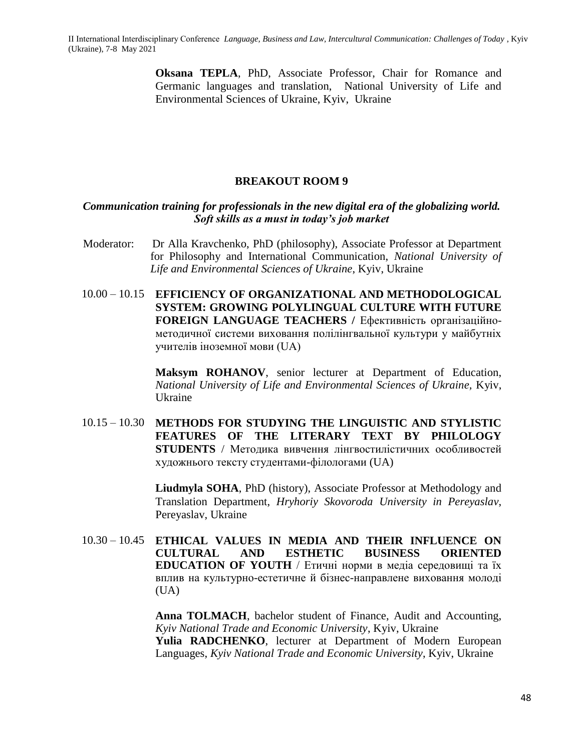**Oksana TEPLA**, PhD, Associate Professor, Chair for Romance and Germanic languages and translation, National University of Life and Environmental Sciences of Ukraine, Kyiv, Ukraine

## **BREAKOUT ROOM 9**

## *Communication training for professionals in the new digital era of the globalizing world. Soft skills as a must in today's job market*

- Moderator:Dr Alla Kravchenko, PhD (philosophy), Associate Professor at Department for Philosophy and International Communication, *National University of Life and Environmental Sciences of Ukraine*, Kyiv, Ukraine
- 10.00 10.15 **EFFICIENCY OF ORGANIZATIONAL AND METHODOLOGICAL SYSTEM: GROWING POLYLINGUAL CULTURE WITH FUTURE FOREIGN LANGUAGE TEACHERS /** Ефективність організаційнометодичної системи виховання полілінгвальної культури у майбутніх учителів іноземної мови (UA)

**Maksym ROHANOV**, senior lecturer at Department of Education, *National University of Life and Environmental Sciences of Ukraine,* Kyiv, Ukraine

10.15 – 10.30 **METHODS FOR STUDYING THE LINGUISTIC AND STYLISTIC FEATURES OF THE LITERARY TEXT BY PHILOLOGY STUDENTS** / Методика вивчення лінгвостилістичних особливостей художнього тексту студентами-філологами (UA)

> **Liudmyla SOHA**, PhD (history), Associate Professor at Methodology and Translation Department, *Hryhoriy Skovoroda University in Pereyaslav*, Pereyaslav, Ukraine

10.30 – 10.45 **ETHICAL VALUES IN MEDIA AND THEIR INFLUENCE ON CULTURAL AND ESTHETIC BUSINESS ORIENTED EDUCATION OF YOUTH** / Етичні норми в медіа середовищі та їх вплив на культурно-естетичне й бізнес-направлене виховання молоді  $(UA)$ 

> **Anna TOLMACH**, bachelor student of Finance, Audit and Accounting, *Kyiv National Trade and Economic University*, Kyiv, Ukraine **Yulia RADCHENKO**, lecturer at Department of Modern European Languages, *Kyiv National Trade and Economic University*, Kyiv, Ukraine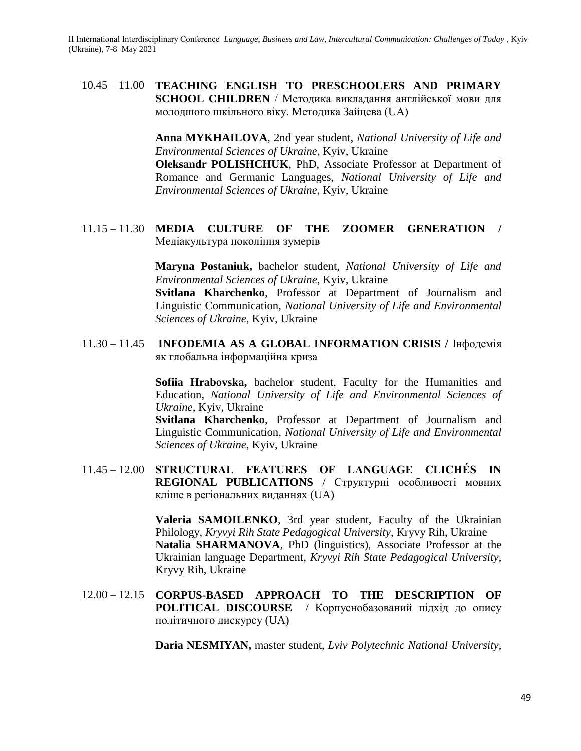10.45 – 11.00 **TEACHING ENGLISH TO PRESCHOOLERS AND PRIMARY SCHOOL CHILDREN** / Методика викладання англійської мови для молодшого шкільного віку. Методика Зайцева (UA)

> **Anna MYKHAILOVA**, 2nd year student, *National University of Life and Environmental Sciences of Ukraine*, Kyiv, Ukraine

> **Oleksandr POLISHCHUK**, PhD, Associate Professor at Department of Romance and Germanic Languages, *National University of Life and Environmental Sciences of Ukraine*, Kyiv, Ukraine

11.15 – 11.30 **MEDIA CULTURE OF THE ZOOMER GENERATION /**  Медіакультура покоління зумерів

> **Maryna Postaniuk,** bachelor student, *National University of Life and Environmental Sciences of Ukraine*, Kyiv, Ukraine

> **Svitlana Kharchenko**, Professor at Department of Journalism and Linguistic Communication, *National University of Life and Environmental Sciences of Ukraine*, Kyiv, Ukraine

11.30 – 11.45 **INFODEMIA AS A GLOBAL INFORMATION CRISIS /** Інфодемія як глобальна інформаційна криза

> **Sofiia Hrabovska,** bachelor student, Faculty for the Humanities and Education, *National University of Life and Environmental Sciences of Ukraine*, Kyiv, Ukraine

> **Svitlana Kharchenko**, Professor at Department of Journalism and Linguistic Communication, *National University of Life and Environmental Sciences of Ukraine*, Kyiv, Ukraine

11.45 – 12.00 **STRUCTURAL FEATURES OF LANGUAGE CLICHÉS IN REGIONAL PUBLICATIONS** / Структурні особливості мовних кліше в регіональних виданнях (UA)

> **Valeria SAMOILENKO**, 3rd year student, Faculty of the Ukrainian Philology, *Kryvyi Rih State Pedagogical University*, Kryvy Rih, Ukraine **Natalia SHARMANOVA**, PhD (linguistics), Associate Professor at the Ukrainian language Department, *Kryvyi Rih State Pedagogical University*, Kryvy Rih, Ukraine

12.00 – 12.15 **CORPUS-BASED APPROACH TO THE DESCRIPTION OF POLITICAL DISCOURSE** / Корпуснобазований підхід до опису політичного дискурсу (UA)

**Daria NESMIYAN,** master student, *Lviv Polytechnic National University*,